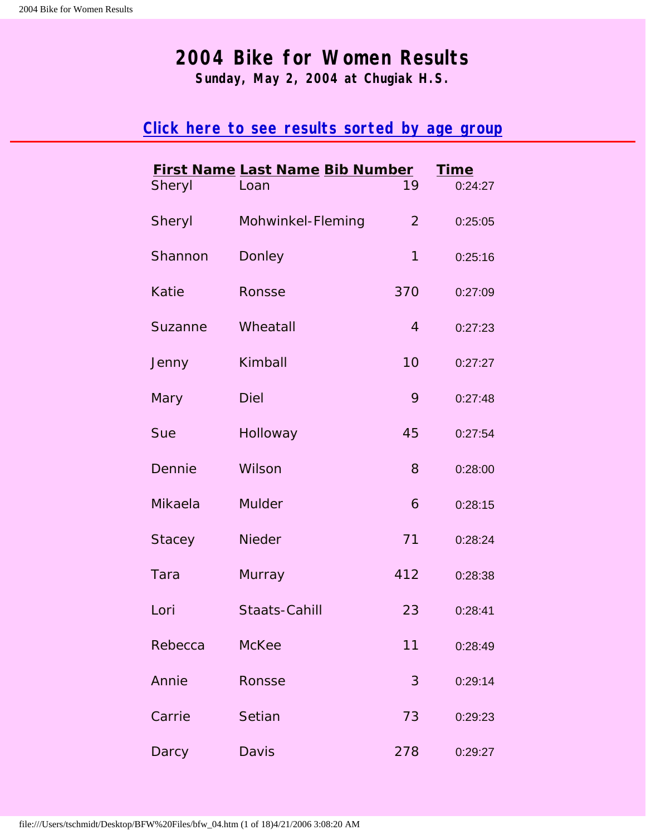# <span id="page-0-1"></span>**2004 Bike for Women Results**

**Sunday, May 2, 2004 at Chugiak H.S.**

## <span id="page-0-0"></span>**[Click here to see results sorted by age group](#page-18-0)**

| Sheryl        | <b>First Name Last Name Bib Number</b><br>Loan | 19             | <b>Time</b><br>0:24:27 |  |
|---------------|------------------------------------------------|----------------|------------------------|--|
| Sheryl        | Mohwinkel-Fleming                              | $\overline{2}$ | 0:25:05                |  |
| Shannon       | Donley                                         | $\mathbf{1}$   | 0:25:16                |  |
| <b>Katie</b>  | Ronsse                                         | 370            | 0:27:09                |  |
| Suzanne       | Wheatall                                       | $\overline{4}$ | 0:27:23                |  |
| Jenny         | Kimball                                        | 10             | 0:27:27                |  |
| Mary          | <b>Diel</b>                                    | 9              | 0:27:48                |  |
| Sue           | Holloway                                       | 45             | 0:27:54                |  |
| Dennie        | Wilson                                         | 8              | 0:28:00                |  |
| Mikaela       | <b>Mulder</b>                                  | 6              | 0:28:15                |  |
| <b>Stacey</b> | <b>Nieder</b>                                  | 71             | 0:28:24                |  |
| Tara          | Murray                                         | 412            | 0:28:38                |  |
| Lori          | Staats-Cahill                                  | 23             | 0:28:41                |  |
| Rebecca       | <b>McKee</b>                                   | 11             | 0:28:49                |  |
| Annie         | Ronsse                                         | 3              | 0:29:14                |  |
| Carrie        | Setian                                         | 73             | 0:29:23                |  |
| Darcy         | Davis                                          | 278            | 0:29:27                |  |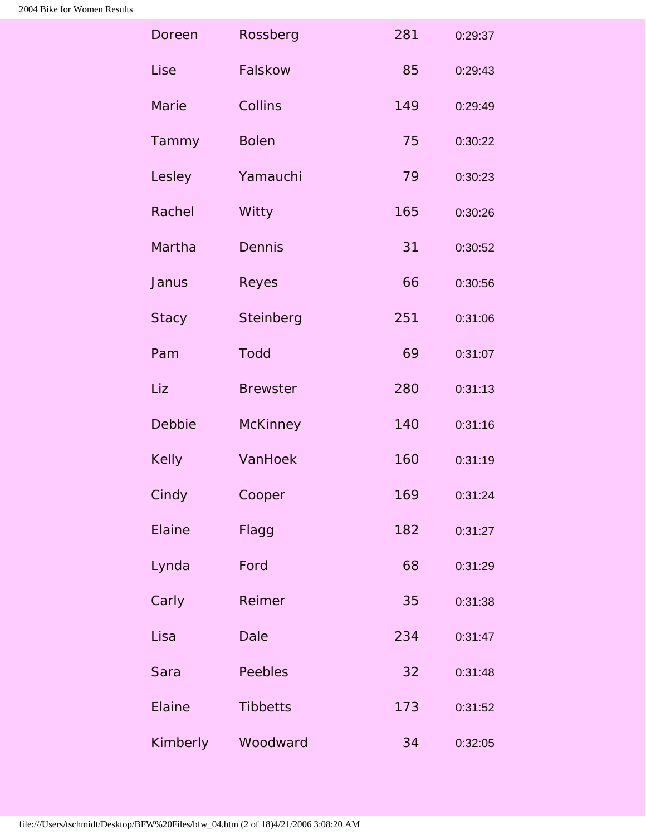| Doreen       | Rossberg        | 281 | 0:29:37 |
|--------------|-----------------|-----|---------|
| Lise         | Falskow         | 85  | 0:29:43 |
| Marie        | Collins         | 149 | 0:29:49 |
| Tammy        | <b>Bolen</b>    | 75  | 0:30:22 |
| Lesley       | Yamauchi        | 79  | 0:30:23 |
| Rachel       | Witty           | 165 | 0:30:26 |
| Martha       | Dennis          | 31  | 0:30:52 |
| Janus        | Reyes           | 66  | 0:30:56 |
| <b>Stacy</b> | Steinberg       | 251 | 0:31:06 |
| Pam          | <b>Todd</b>     | 69  | 0:31:07 |
| Liz          | <b>Brewster</b> | 280 | 0:31:13 |
| Debbie       | <b>McKinney</b> | 140 | 0:31:16 |
| Kelly        | VanHoek         | 160 | 0:31:19 |
| Cindy        | Cooper          | 169 | 0:31:24 |
| Elaine       | Flagg           | 182 | 0:31:27 |
| Lynda        | Ford            | 68  | 0:31:29 |
| Carly        | Reimer          | 35  | 0:31:38 |
| Lisa         | Dale            | 234 | 0:31:47 |
| Sara         | Peebles         | 32  | 0:31:48 |
| Elaine       | <b>Tibbetts</b> | 173 | 0:31:52 |
| Kimberly     | Woodward        | 34  | 0:32:05 |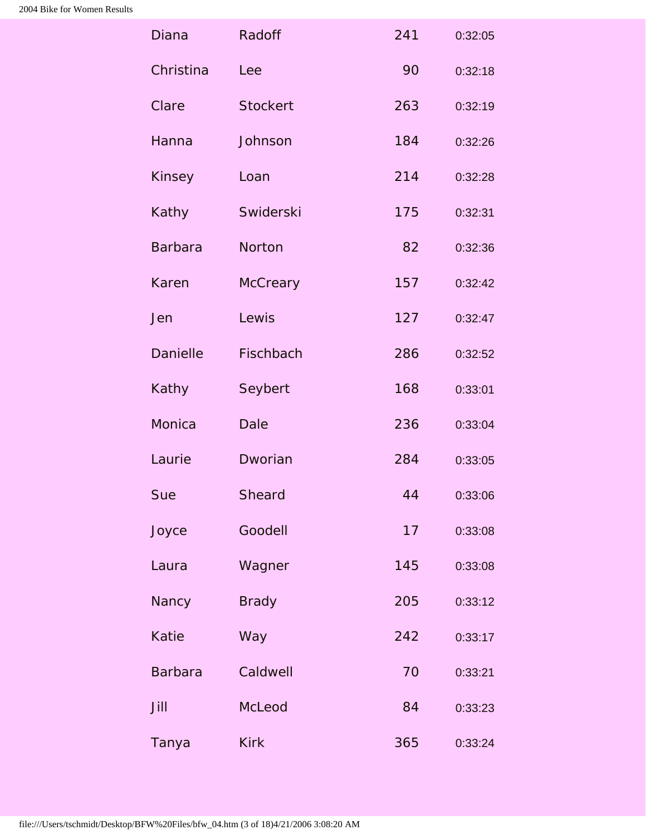| <b>Diana</b>    | Radoff          | 241 | 0:32:05 |
|-----------------|-----------------|-----|---------|
| Christina       | Lee             | 90  | 0:32:18 |
| Clare           | <b>Stockert</b> | 263 | 0:32:19 |
| Hanna           | Johnson         | 184 | 0:32:26 |
| Kinsey          | Loan            | 214 | 0:32:28 |
| Kathy           | Swiderski       | 175 | 0:32:31 |
| <b>Barbara</b>  | Norton          | 82  | 0:32:36 |
| Karen           | <b>McCreary</b> | 157 | 0:32:42 |
| Jen             | Lewis           | 127 | 0:32:47 |
| <b>Danielle</b> | Fischbach       | 286 | 0:32:52 |
| Kathy           | Seybert         | 168 | 0:33:01 |
| Monica          | <b>Dale</b>     | 236 | 0:33:04 |
| Laurie          | Dworian         | 284 | 0:33:05 |
| Sue             | Sheard          | 44  | 0:33:06 |
| Joyce           | Goodell         | 17  | 0:33:08 |
| Laura           | Wagner          | 145 | 0:33:08 |
| Nancy           | <b>Brady</b>    | 205 | 0:33:12 |
| <b>Katie</b>    | Way             | 242 | 0:33:17 |
| <b>Barbara</b>  | Caldwell        | 70  | 0:33:21 |
| Jill            | McLeod          | 84  | 0:33:23 |
| Tanya           | <b>Kirk</b>     | 365 | 0:33:24 |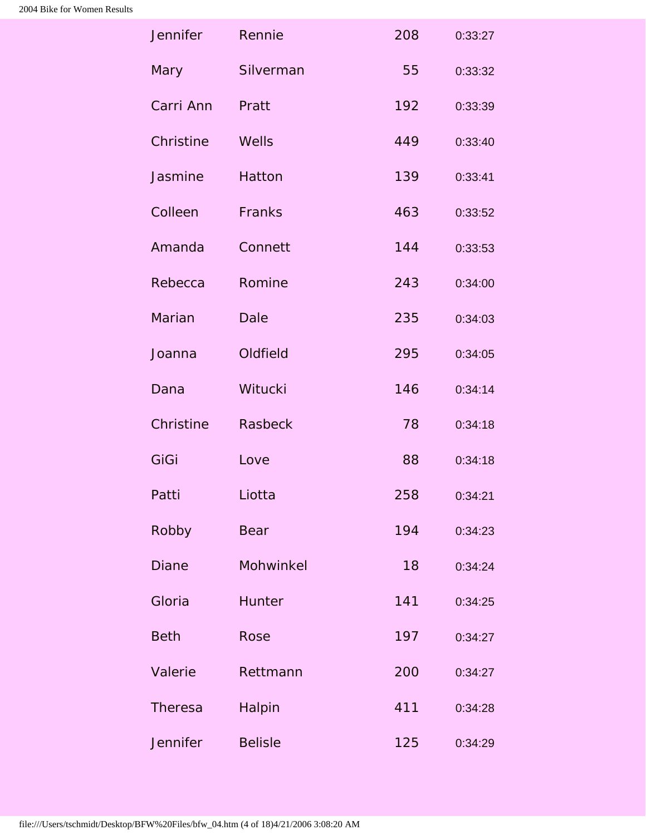| Jennifer       | Rennie         | 208 | 0:33:27 |
|----------------|----------------|-----|---------|
| Mary           | Silverman      | 55  | 0:33:32 |
| Carri Ann      | Pratt          | 192 | 0:33:39 |
| Christine      | Wells          | 449 | 0:33:40 |
| Jasmine        | Hatton         | 139 | 0:33:41 |
| Colleen        | Franks         | 463 | 0:33:52 |
| Amanda         | Connett        | 144 | 0:33:53 |
| Rebecca        | Romine         | 243 | 0:34:00 |
| Marian         | <b>Dale</b>    | 235 | 0:34:03 |
| Joanna         | Oldfield       | 295 | 0:34:05 |
| Dana           | Witucki        | 146 | 0:34:14 |
| Christine      | <b>Rasbeck</b> | 78  | 0:34:18 |
| GiGi           | Love           | 88  | 0:34:18 |
| Patti          | Liotta         | 258 | 0:34:21 |
| Robby          | <b>Bear</b>    | 194 | 0:34:23 |
| <b>Diane</b>   | Mohwinkel      | 18  | 0:34:24 |
| Gloria         | Hunter         | 141 | 0:34:25 |
| <b>Beth</b>    | Rose           | 197 | 0:34:27 |
| Valerie        | Rettmann       | 200 | 0:34:27 |
| <b>Theresa</b> | Halpin         | 411 | 0:34:28 |
| Jennifer       | <b>Belisle</b> | 125 | 0:34:29 |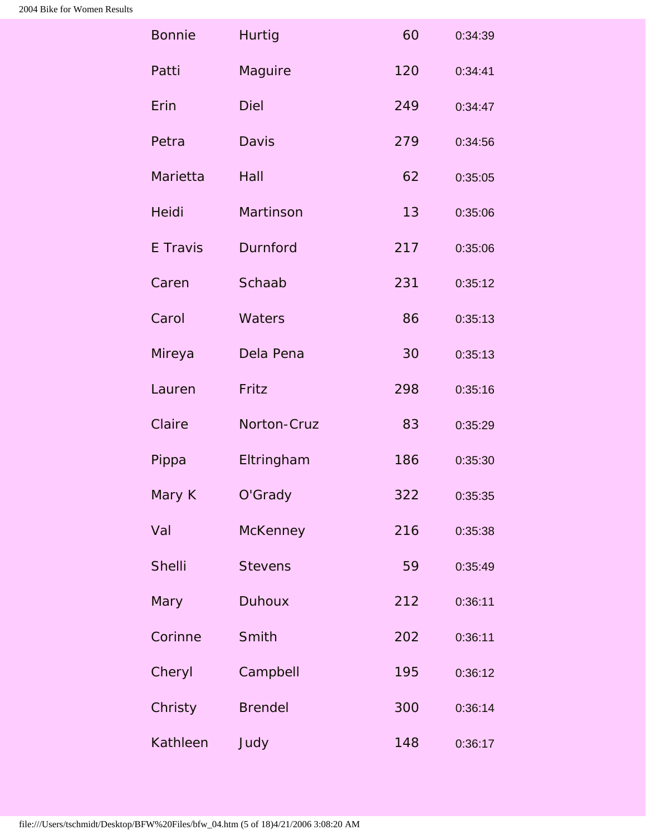| <b>Bonnie</b> | <b>Hurtig</b>   | 60  | 0:34:39 |
|---------------|-----------------|-----|---------|
| Patti         | Maguire         | 120 | 0:34:41 |
| Erin          | <b>Diel</b>     | 249 | 0:34:47 |
| Petra         | <b>Davis</b>    | 279 | 0:34:56 |
| Marietta      | Hall            | 62  | 0:35:05 |
| Heidi         | Martinson       | 13  | 0:35:06 |
| E Travis      | Durnford        | 217 | 0:35:06 |
| Caren         | Schaab          | 231 | 0:35:12 |
| Carol         | Waters          | 86  | 0:35:13 |
| Mireya        | Dela Pena       | 30  | 0:35:13 |
| Lauren        | Fritz           | 298 | 0:35:16 |
| Claire        | Norton-Cruz     | 83  | 0:35:29 |
| Pippa         | Eltringham      | 186 | 0:35:30 |
| Mary K        | O'Grady         | 322 | 0:35:35 |
| Val           | <b>McKenney</b> | 216 | 0:35:38 |
| <b>Shelli</b> | <b>Stevens</b>  | 59  | 0:35:49 |
| Mary          | <b>Duhoux</b>   | 212 | 0:36:11 |
| Corinne       | Smith           | 202 | 0:36:11 |
| Cheryl        | Campbell        | 195 | 0:36:12 |
| Christy       | <b>Brendel</b>  | 300 | 0:36:14 |
| Kathleen      | Judy            | 148 | 0:36:17 |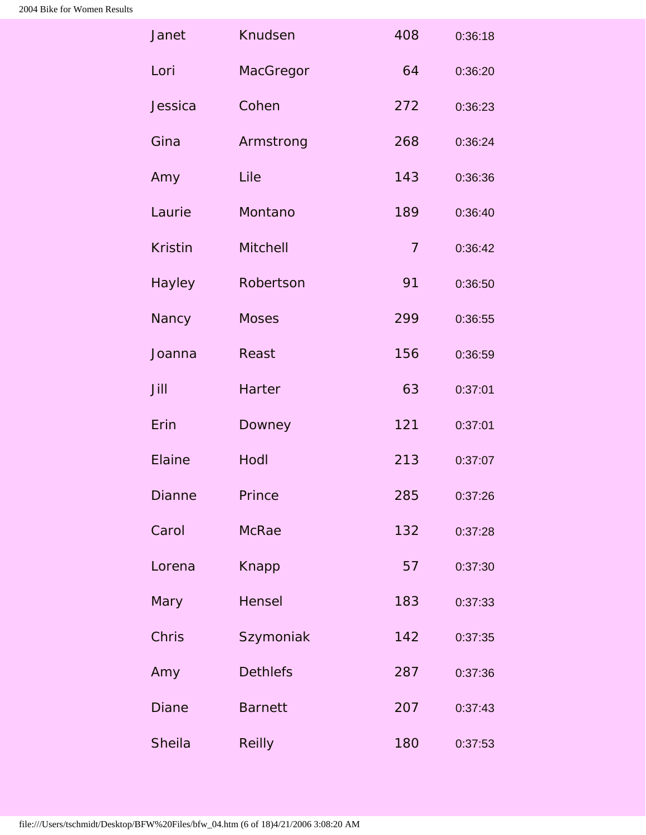| Janet          | Knudsen         | 408            | 0:36:18 |
|----------------|-----------------|----------------|---------|
| Lori           | MacGregor       | 64             | 0:36:20 |
| Jessica        | Cohen           | 272            | 0:36:23 |
| Gina           | Armstrong       | 268            | 0:36:24 |
| Amy            | Lile            | 143            | 0:36:36 |
| Laurie         | Montano         | 189            | 0:36:40 |
| <b>Kristin</b> | <b>Mitchell</b> | $\overline{7}$ | 0:36:42 |
| Hayley         | Robertson       | 91             | 0:36:50 |
| Nancy          | <b>Moses</b>    | 299            | 0:36:55 |
| Joanna         | Reast           | 156            | 0:36:59 |
| Jill           | Harter          | 63             | 0:37:01 |
| Erin           | Downey          | 121            | 0:37:01 |
| Elaine         | Hodl            | 213            | 0:37:07 |
| <b>Dianne</b>  | Prince          | 285            | 0:37:26 |
| Carol          | <b>McRae</b>    | 132            | 0:37:28 |
| Lorena         | Knapp           | 57             | 0:37:30 |
| Mary           | Hensel          | 183            | 0:37:33 |
| Chris          | Szymoniak       | 142            | 0:37:35 |
| Amy            | <b>Dethlefs</b> | 287            | 0:37:36 |
| <b>Diane</b>   | <b>Barnett</b>  | 207            | 0:37:43 |
| Sheila         | <b>Reilly</b>   | 180            | 0:37:53 |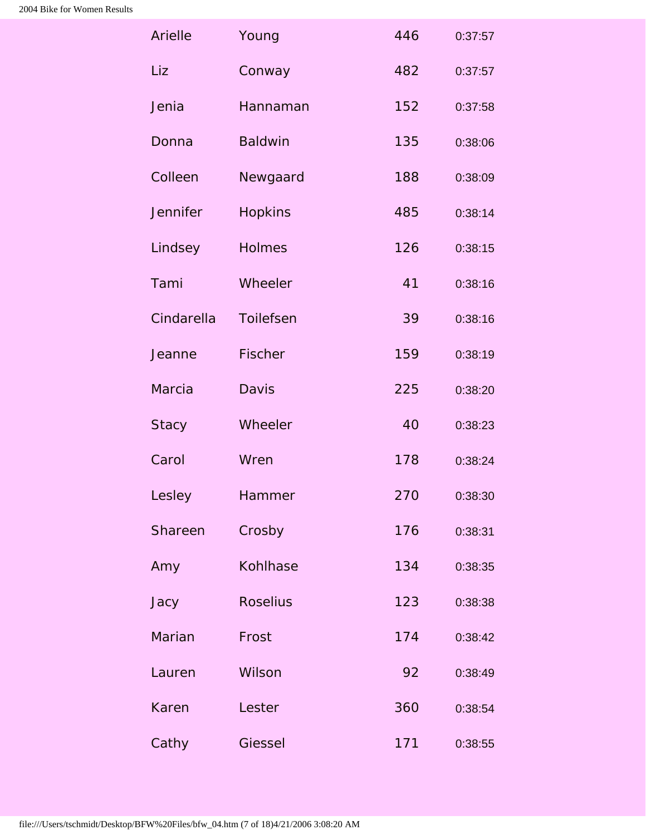| Arielle         | Young           | 446 | 0:37:57 |
|-----------------|-----------------|-----|---------|
| Liz             | Conway          | 482 | 0:37:57 |
| Jenia           | Hannaman        | 152 | 0:37:58 |
| Donna           | <b>Baldwin</b>  | 135 | 0:38:06 |
| Colleen         | Newgaard        | 188 | 0:38:09 |
| <b>Jennifer</b> | <b>Hopkins</b>  | 485 | 0:38:14 |
| Lindsey         | <b>Holmes</b>   | 126 | 0:38:15 |
| Tami            | Wheeler         | 41  | 0:38:16 |
| Cindarella      | Toilefsen       | 39  | 0:38:16 |
| Jeanne          | Fischer         | 159 | 0:38:19 |
| Marcia          | <b>Davis</b>    | 225 | 0:38:20 |
| <b>Stacy</b>    | Wheeler         | 40  | 0:38:23 |
| Carol           | Wren            | 178 | 0:38:24 |
| Lesley          | Hammer          | 270 | 0:38:30 |
| Shareen         | Crosby          | 176 | 0:38:31 |
| Amy             | Kohlhase        | 134 | 0:38:35 |
| Jacy            | <b>Roselius</b> | 123 | 0:38:38 |
| Marian          | Frost           | 174 | 0:38:42 |
| Lauren          | Wilson          | 92  | 0:38:49 |
| Karen           | Lester          | 360 | 0:38:54 |
| Cathy           | Giessel         | 171 | 0:38:55 |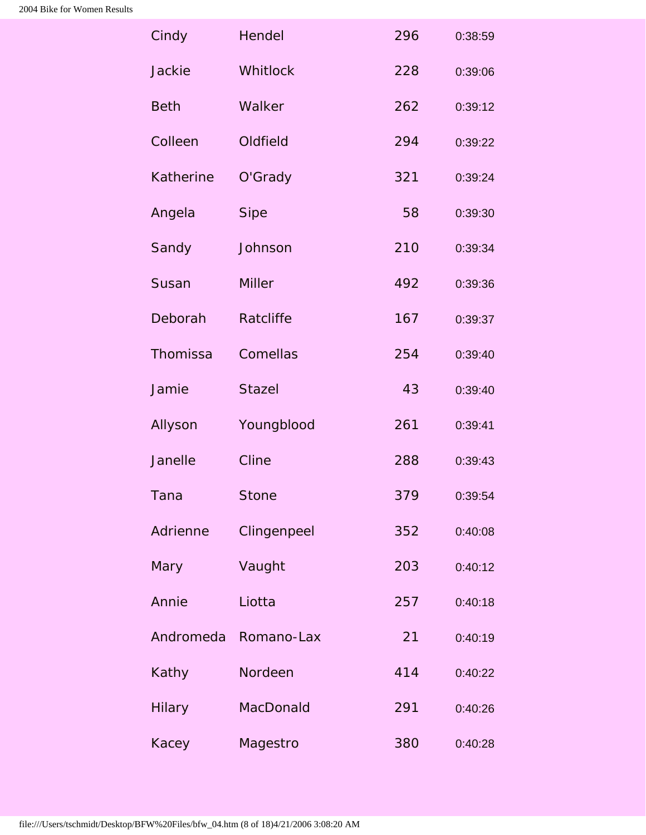| Cindy         | <b>Hendel</b> | 296 | 0:38:59 |
|---------------|---------------|-----|---------|
| Jackie        | Whitlock      | 228 | 0:39:06 |
| <b>Beth</b>   | Walker        | 262 | 0:39:12 |
| Colleen       | Oldfield      | 294 | 0:39:22 |
| Katherine     | O'Grady       | 321 | 0:39:24 |
| Angela        | <b>Sipe</b>   | 58  | 0:39:30 |
| Sandy         | Johnson       | 210 | 0:39:34 |
| Susan         | <b>Miller</b> | 492 | 0:39:36 |
| Deborah       | Ratcliffe     | 167 | 0:39:37 |
| Thomissa      | Comellas      | 254 | 0:39:40 |
| Jamie         | <b>Stazel</b> | 43  | 0:39:40 |
| Allyson       | Youngblood    | 261 | 0:39:41 |
| Janelle       | Cline         | 288 | 0:39:43 |
| Tana          | <b>Stone</b>  | 379 | 0:39:54 |
| Adrienne      | Clingenpeel   | 352 | 0:40:08 |
| <b>Mary</b>   | Vaught        | 203 | 0:40:12 |
| Annie         | Liotta        | 257 | 0:40:18 |
| Andromeda     | Romano-Lax    | 21  | 0:40:19 |
| Kathy         | Nordeen       | 414 | 0:40:22 |
| <b>Hilary</b> | MacDonald     | 291 | 0:40:26 |
| Kacey         | Magestro      | 380 | 0:40:28 |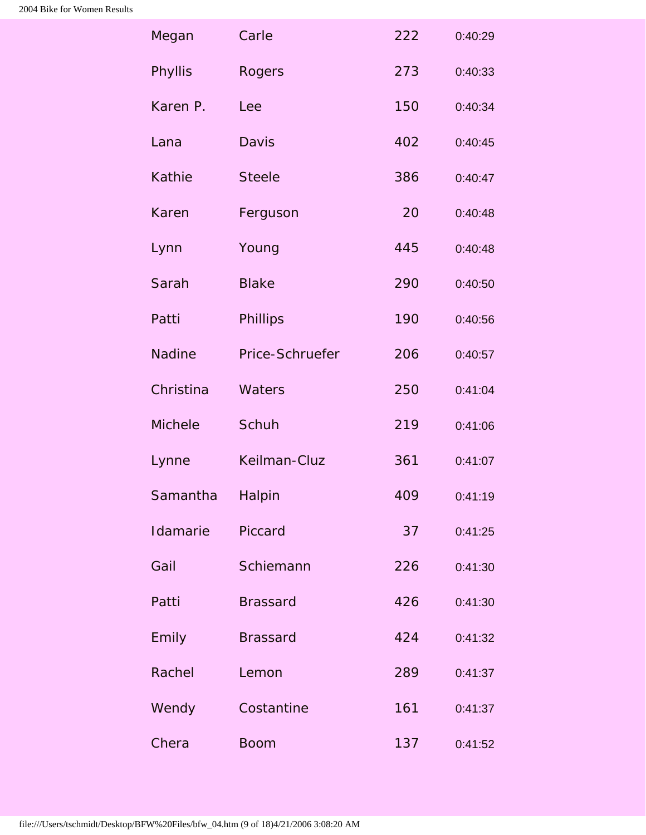| Megan          | Carle           | 222 | 0:40:29 |
|----------------|-----------------|-----|---------|
| <b>Phyllis</b> | Rogers          | 273 | 0:40:33 |
| Karen P.       | Lee             | 150 | 0:40:34 |
| Lana           | <b>Davis</b>    | 402 | 0:40:45 |
| <b>Kathie</b>  | <b>Steele</b>   | 386 | 0:40:47 |
| Karen          | Ferguson        | 20  | 0:40:48 |
| Lynn           | Young           | 445 | 0:40:48 |
| Sarah          | <b>Blake</b>    | 290 | 0:40:50 |
| Patti          | Phillips        | 190 | 0:40:56 |
| <b>Nadine</b>  | Price-Schruefer | 206 | 0:40:57 |
| Christina      | Waters          | 250 | 0:41:04 |
| <b>Michele</b> | Schuh           | 219 | 0:41:06 |
| Lynne          | Keilman-Cluz    | 361 | 0:41:07 |
| Samantha       | Halpin          | 409 | 0:41:19 |
| Idamarie       | Piccard         | 37  | 0:41:25 |
| Gail           | Schiemann       | 226 | 0:41:30 |
| Patti          | <b>Brassard</b> | 426 | 0:41:30 |
| Emily          | <b>Brassard</b> | 424 | 0:41:32 |
| Rachel         | Lemon           | 289 | 0:41:37 |
| Wendy          | Costantine      | 161 | 0:41:37 |
| Chera          | <b>Boom</b>     | 137 | 0:41:52 |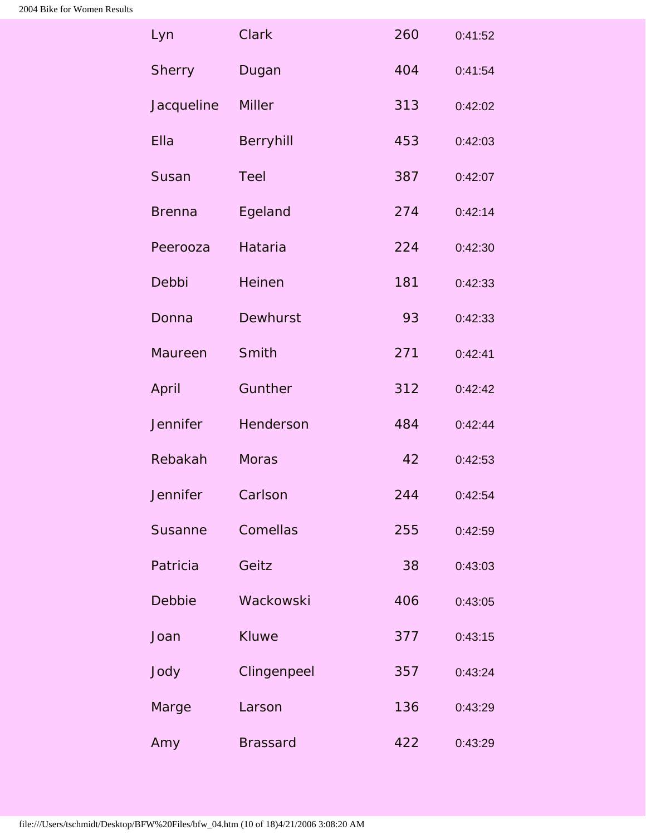| Lyn             | <b>Clark</b>    | 260 | 0:41:52 |
|-----------------|-----------------|-----|---------|
| <b>Sherry</b>   | Dugan           | 404 | 0:41:54 |
| Jacqueline      | <b>Miller</b>   | 313 | 0:42:02 |
| Ella            | Berryhill       | 453 | 0:42:03 |
| Susan           | <b>Teel</b>     | 387 | 0:42:07 |
| <b>Brenna</b>   | Egeland         | 274 | 0:42:14 |
| Peerooza        | Hataria         | 224 | 0:42:30 |
| Debbi           | Heinen          | 181 | 0:42:33 |
| Donna           | <b>Dewhurst</b> | 93  | 0:42:33 |
| Maureen         | Smith           | 271 | 0:42:41 |
| April           | Gunther         | 312 | 0:42:42 |
| <b>Jennifer</b> | Henderson       | 484 | 0:42:44 |
| Rebakah         | <b>Moras</b>    | 42  | 0:42:53 |
| Jennifer        | Carlson         | 244 | 0:42:54 |
| Susanne         | Comellas        | 255 | 0:42:59 |
| Patricia        | Geitz           | 38  | 0:43:03 |
| Debbie          | Wackowski       | 406 | 0:43:05 |
| Joan            | <b>Kluwe</b>    | 377 | 0:43:15 |
| Jody            | Clingenpeel     | 357 | 0:43:24 |
| Marge           | Larson          | 136 | 0:43:29 |
| Amy             | <b>Brassard</b> | 422 | 0:43:29 |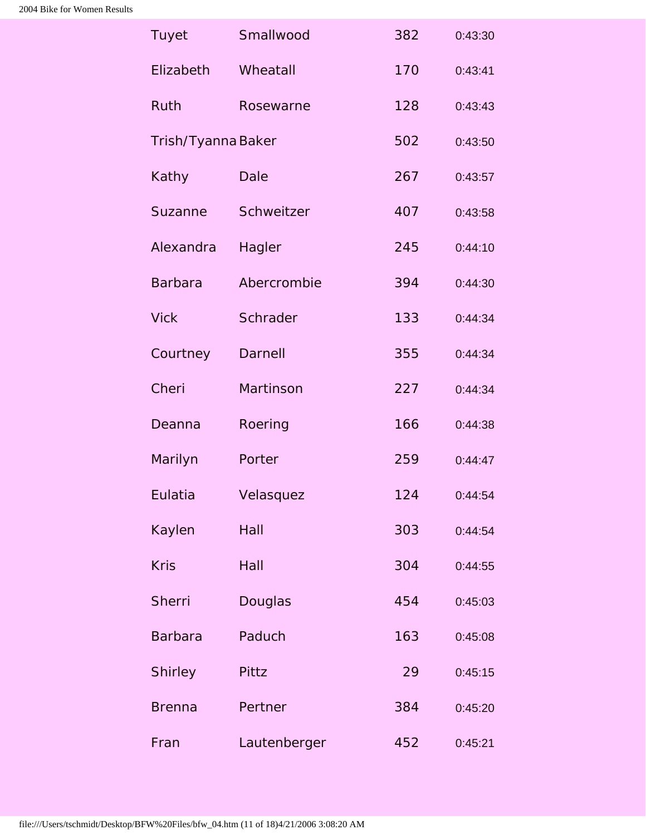| <b>Tuyet</b>       | Smallwood    | 382 | 0:43:30 |
|--------------------|--------------|-----|---------|
| Elizabeth          | Wheatall     | 170 | 0:43:41 |
| Ruth               | Rosewarne    | 128 | 0:43:43 |
| Trish/Tyanna Baker |              | 502 | 0:43:50 |
| Kathy              | Dale         | 267 | 0:43:57 |
| Suzanne            | Schweitzer   | 407 | 0:43:58 |
| Alexandra          | Hagler       | 245 | 0:44:10 |
| <b>Barbara</b>     | Abercrombie  | 394 | 0:44:30 |
| <b>Vick</b>        | Schrader     | 133 | 0:44:34 |
| Courtney           | Darnell      | 355 | 0:44:34 |
| Cheri              | Martinson    | 227 | 0:44:34 |
| Deanna             | Roering      | 166 | 0:44:38 |
| Marilyn            | Porter       | 259 | 0:44:47 |
| Eulatia            | Velasquez    | 124 | 0:44:54 |
| Kaylen             | Hall         | 303 | 0:44:54 |
| <b>Kris</b>        | Hall         | 304 | 0:44:55 |
| <b>Sherri</b>      | Douglas      | 454 | 0:45:03 |
| <b>Barbara</b>     | Paduch       | 163 | 0:45:08 |
| <b>Shirley</b>     | Pittz        | 29  | 0:45:15 |
| <b>Brenna</b>      | Pertner      | 384 | 0:45:20 |
| Fran               | Lautenberger | 452 | 0:45:21 |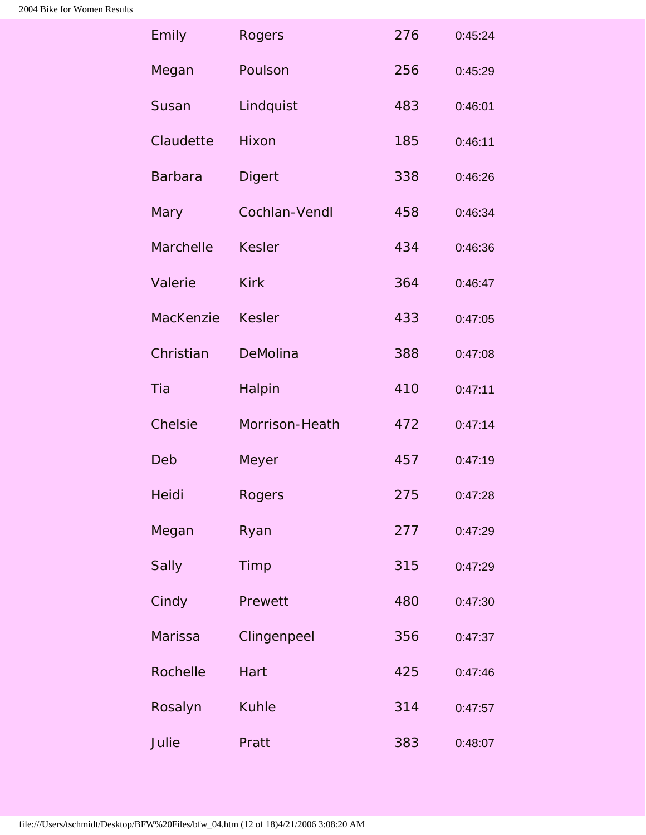| Emily            | <b>Rogers</b>  | 276 | 0:45:24 |
|------------------|----------------|-----|---------|
| Megan            | Poulson        | 256 | 0:45:29 |
| Susan            | Lindquist      | 483 | 0:46:01 |
| Claudette        | Hixon          | 185 | 0:46:11 |
| <b>Barbara</b>   | <b>Digert</b>  | 338 | 0:46:26 |
| Mary             | Cochlan-Vendl  | 458 | 0:46:34 |
| <b>Marchelle</b> | <b>Kesler</b>  | 434 | 0:46:36 |
| Valerie          | <b>Kirk</b>    | 364 | 0:46:47 |
| MacKenzie        | <b>Kesler</b>  | 433 | 0:47:05 |
| Christian        | DeMolina       | 388 | 0:47:08 |
| Tia              | Halpin         | 410 | 0:47:11 |
| Chelsie          | Morrison-Heath | 472 | 0:47:14 |
| Deb              | Meyer          | 457 | 0:47:19 |
| Heidi            | <b>Rogers</b>  | 275 | 0:47:28 |
| Megan            | Ryan           | 277 | 0:47:29 |
| <b>Sally</b>     | Timp           | 315 | 0:47:29 |
| Cindy            | Prewett        | 480 | 0:47:30 |
| <b>Marissa</b>   | Clingenpeel    | 356 | 0:47:37 |
| Rochelle         | Hart           | 425 | 0:47:46 |
| Rosalyn          | <b>Kuhle</b>   | 314 | 0:47:57 |
| Julie            | Pratt          | 383 | 0:48:07 |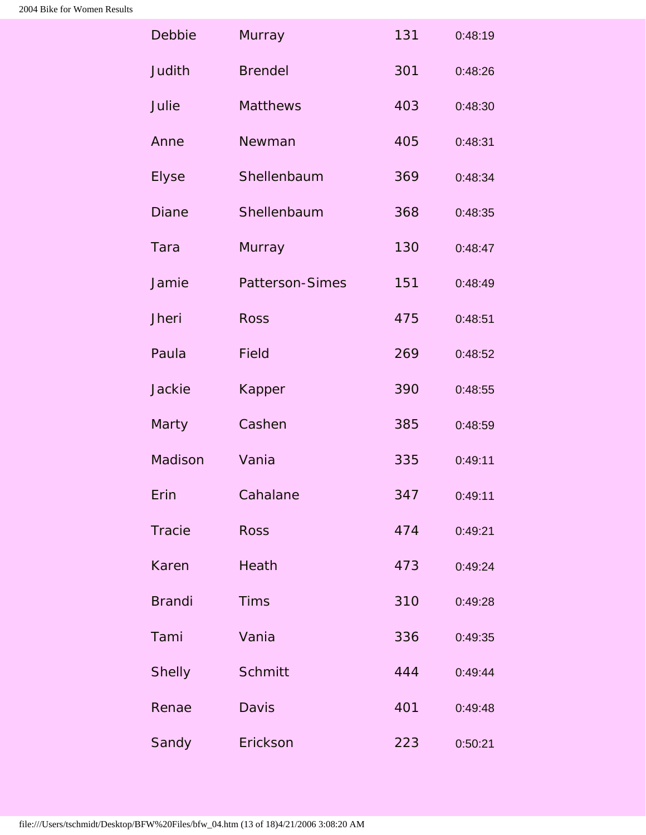| Debbie        | Murray                 | 131 | 0:48:19 |
|---------------|------------------------|-----|---------|
| Judith        | <b>Brendel</b>         | 301 | 0:48:26 |
| Julie         | Matthews               | 403 | 0:48:30 |
| Anne          | Newman                 | 405 | 0:48:31 |
| <b>Elyse</b>  | Shellenbaum            | 369 | 0:48:34 |
| <b>Diane</b>  | Shellenbaum            | 368 | 0:48:35 |
| Tara          | Murray                 | 130 | 0:48:47 |
| Jamie         | <b>Patterson-Simes</b> | 151 | 0:48:49 |
| Jheri         | <b>Ross</b>            | 475 | 0:48:51 |
| Paula         | <b>Field</b>           | 269 | 0:48:52 |
| <b>Jackie</b> | Kapper                 | 390 | 0:48:55 |
| Marty         | Cashen                 | 385 | 0:48:59 |
| Madison       | Vania                  | 335 | 0:49:11 |
| Erin          | Cahalane               | 347 | 0:49:11 |
| <b>Tracie</b> | <b>Ross</b>            | 474 | 0:49:21 |
| Karen         | Heath                  | 473 | 0:49:24 |
| <b>Brandi</b> | <b>Tims</b>            | 310 | 0:49:28 |
| Tami          | Vania                  | 336 | 0:49:35 |
| <b>Shelly</b> | <b>Schmitt</b>         | 444 | 0:49:44 |
| Renae         | <b>Davis</b>           | 401 | 0:49:48 |
| Sandy         | Erickson               | 223 | 0:50:21 |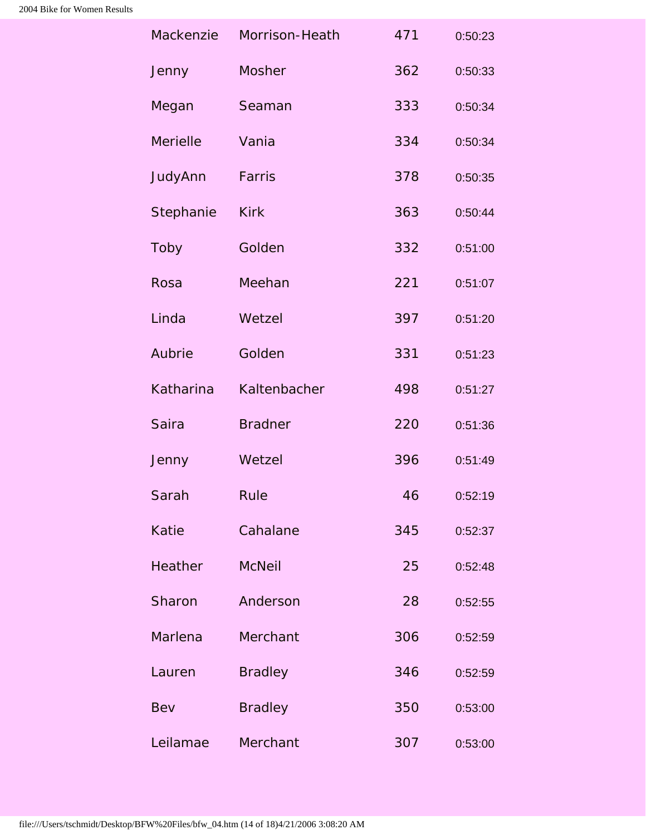| Mackenzie       | Morrison-Heath | 471 | 0:50:23 |
|-----------------|----------------|-----|---------|
| Jenny           | Mosher         | 362 | 0:50:33 |
| Megan           | Seaman         | 333 | 0:50:34 |
| <b>Merielle</b> | Vania          | 334 | 0:50:34 |
| JudyAnn         | Farris         | 378 | 0:50:35 |
| Stephanie       | <b>Kirk</b>    | 363 | 0:50:44 |
| Toby            | Golden         | 332 | 0:51:00 |
| Rosa            | Meehan         | 221 | 0:51:07 |
| Linda           | Wetzel         | 397 | 0:51:20 |
| Aubrie          | Golden         | 331 | 0:51:23 |
| Katharina       | Kaltenbacher   | 498 | 0:51:27 |
| <b>Saira</b>    | <b>Bradner</b> | 220 | 0:51:36 |
| Jenny           | Wetzel         | 396 | 0:51:49 |
| Sarah           | Rule           | 46  | 0:52:19 |
| Katie           | Cahalane       | 345 | 0:52:37 |
| Heather         | <b>McNeil</b>  | 25  | 0:52:48 |
| Sharon          | Anderson       | 28  | 0:52:55 |
| Marlena         | Merchant       | 306 | 0:52:59 |
| Lauren          | <b>Bradley</b> | 346 | 0:52:59 |
| Bev             | <b>Bradley</b> | 350 | 0:53:00 |
| Leilamae        | Merchant       | 307 | 0:53:00 |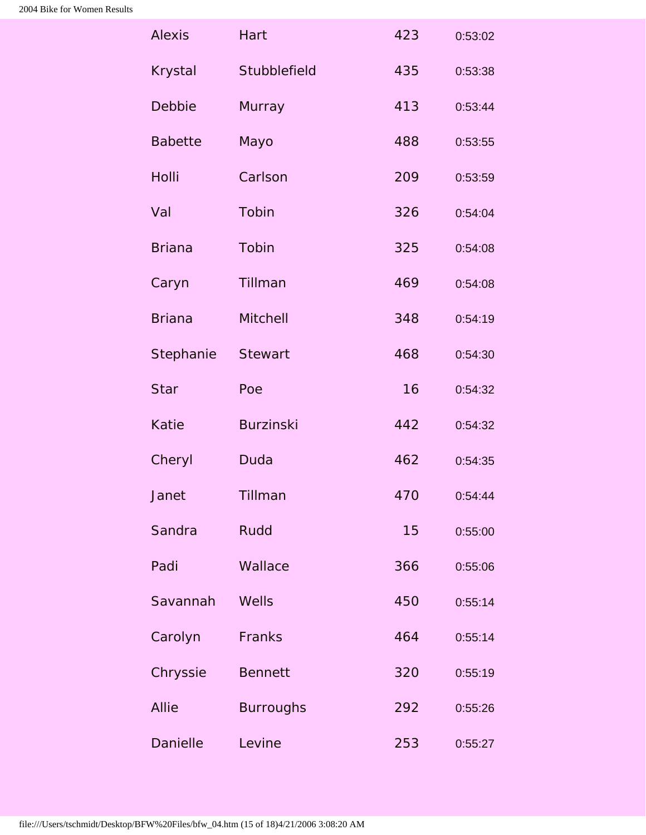| <b>Alexis</b>   | Hart             | 423 | 0:53:02 |
|-----------------|------------------|-----|---------|
| <b>Krystal</b>  | Stubblefield     | 435 | 0:53:38 |
| Debbie          | <b>Murray</b>    | 413 | 0:53:44 |
| <b>Babette</b>  | Mayo             | 488 | 0:53:55 |
| Holli           | Carlson          | 209 | 0:53:59 |
| Val             | Tobin            | 326 | 0:54:04 |
| <b>Briana</b>   | Tobin            | 325 | 0:54:08 |
| Caryn           | Tillman          | 469 | 0:54:08 |
| <b>Briana</b>   | Mitchell         | 348 | 0:54:19 |
| Stephanie       | <b>Stewart</b>   | 468 | 0:54:30 |
| <b>Star</b>     | Poe              | 16  | 0:54:32 |
| Katie           | <b>Burzinski</b> | 442 | 0:54:32 |
| Cheryl          | Duda             | 462 | 0:54:35 |
| Janet           | Tillman          | 470 | 0:54:44 |
| Sandra          | Rudd             | 15  | 0:55:00 |
| Padi            | Wallace          | 366 | 0:55:06 |
| Savannah        | Wells            | 450 | 0:55:14 |
| Carolyn         | Franks           | 464 | 0:55:14 |
| Chryssie        | <b>Bennett</b>   | 320 | 0:55:19 |
| Allie           | <b>Burroughs</b> | 292 | 0:55:26 |
| <b>Danielle</b> | Levine           | 253 | 0:55:27 |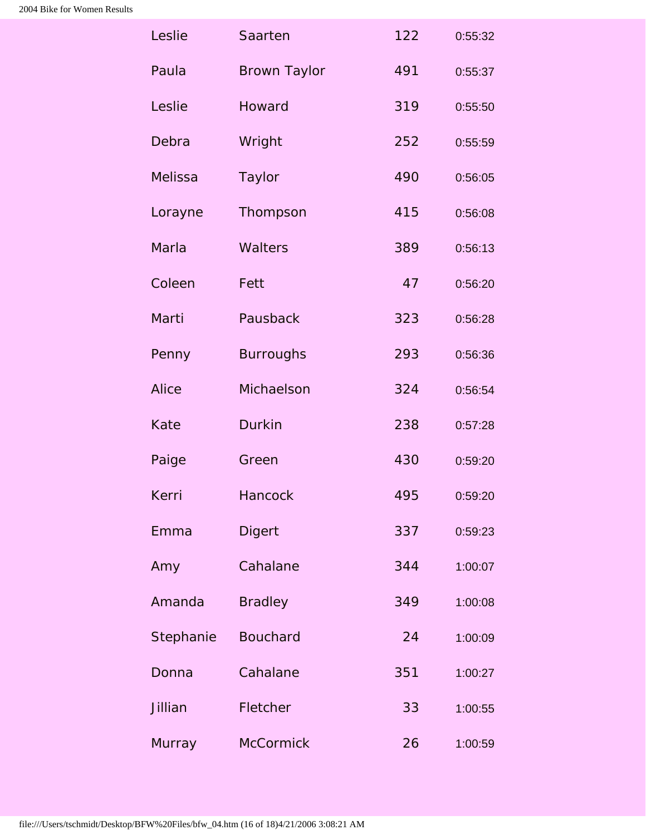| Leslie        | Saarten             | 122 | 0:55:32 |
|---------------|---------------------|-----|---------|
| Paula         | <b>Brown Taylor</b> | 491 | 0:55:37 |
| Leslie        | Howard              | 319 | 0:55:50 |
| Debra         | Wright              | 252 | 0:55:59 |
| Melissa       | <b>Taylor</b>       | 490 | 0:56:05 |
| Lorayne       | Thompson            | 415 | 0:56:08 |
| <b>Marla</b>  | <b>Walters</b>      | 389 | 0:56:13 |
| Coleen        | Fett                | 47  | 0:56:20 |
| Marti         | Pausback            | 323 | 0:56:28 |
| Penny         | <b>Burroughs</b>    | 293 | 0:56:36 |
| <b>Alice</b>  | Michaelson          | 324 | 0:56:54 |
| Kate          | <b>Durkin</b>       | 238 | 0:57:28 |
| Paige         | Green               | 430 | 0:59:20 |
| Kerri         | Hancock             | 495 | 0:59:20 |
| Emma          | <b>Digert</b>       | 337 | 0:59:23 |
| Amy           | Cahalane            | 344 | 1:00:07 |
| Amanda        | <b>Bradley</b>      | 349 | 1:00:08 |
| Stephanie     | <b>Bouchard</b>     | 24  | 1:00:09 |
| Donna         | Cahalane            | 351 | 1:00:27 |
| Jillian       | Fletcher            | 33  | 1:00:55 |
| <b>Murray</b> | <b>McCormick</b>    | 26  | 1:00:59 |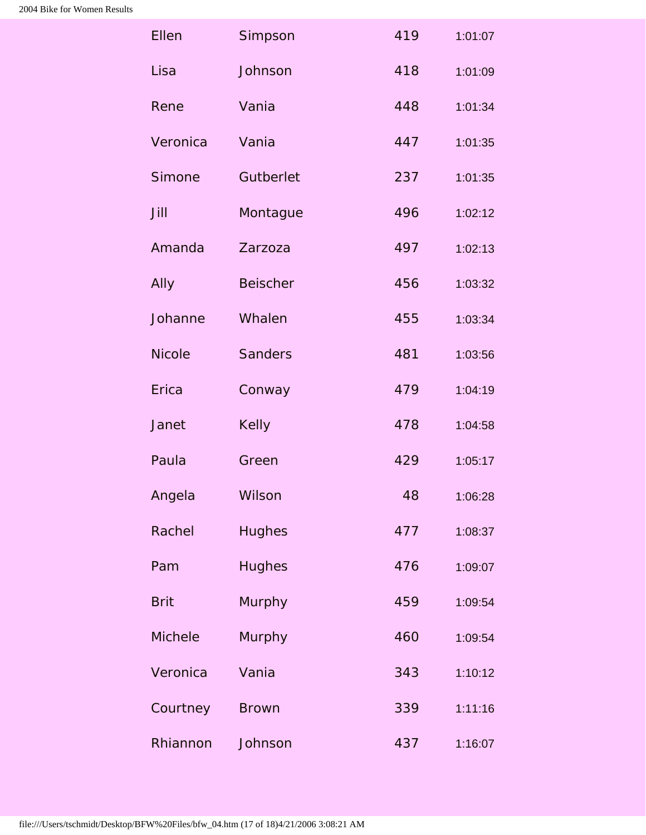| Ellen         | Simpson         | 419 | 1:01:07 |
|---------------|-----------------|-----|---------|
| Lisa          | Johnson         | 418 | 1:01:09 |
| Rene          | Vania           | 448 | 1:01:34 |
| Veronica      | Vania           | 447 | 1:01:35 |
| Simone        | Gutberlet       | 237 | 1:01:35 |
| Jill          | Montague        | 496 | 1:02:12 |
| Amanda        | Zarzoza         | 497 | 1:02:13 |
| Ally          | <b>Beischer</b> | 456 | 1:03:32 |
| Johanne       | Whalen          | 455 | 1:03:34 |
| <b>Nicole</b> | <b>Sanders</b>  | 481 | 1:03:56 |
| Erica         | Conway          | 479 | 1:04:19 |
| Janet         | Kelly           | 478 | 1:04:58 |
| Paula         | Green           | 429 | 1:05:17 |
| Angela        | Wilson          | 48  | 1:06:28 |
| Rachel        | <b>Hughes</b>   | 477 | 1:08:37 |
| Pam           | <b>Hughes</b>   | 476 | 1:09:07 |
| <b>Brit</b>   | Murphy          | 459 | 1:09:54 |
| Michele       | Murphy          | 460 | 1:09:54 |
| Veronica      | Vania           | 343 | 1:10:12 |
| Courtney      | <b>Brown</b>    | 339 | 1:11:16 |
| Rhiannon      | Johnson         | 437 | 1:16:07 |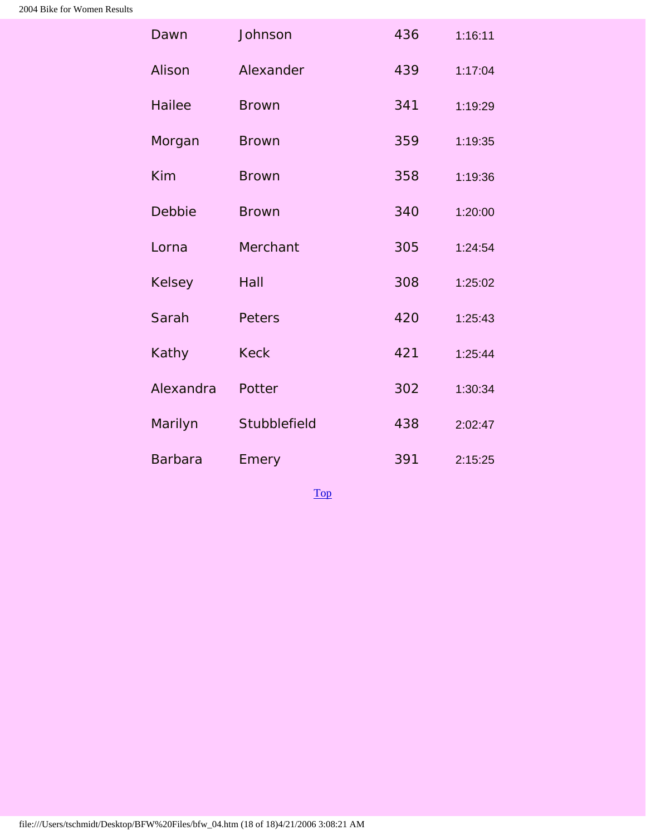| Dawn           | Johnson       | 436 | 1:16:11 |
|----------------|---------------|-----|---------|
| Alison         | Alexander     | 439 | 1:17:04 |
| <b>Hailee</b>  | <b>Brown</b>  | 341 | 1:19:29 |
| Morgan         | <b>Brown</b>  | 359 | 1:19:35 |
| Kim            | <b>Brown</b>  | 358 | 1:19:36 |
| Debbie         | <b>Brown</b>  | 340 | 1:20:00 |
| Lorna          | Merchant      | 305 | 1:24:54 |
| <b>Kelsey</b>  | Hall          | 308 | 1:25:02 |
| Sarah          | <b>Peters</b> | 420 | 1:25:43 |
| Kathy          | <b>Keck</b>   | 421 | 1:25:44 |
| Alexandra      | Potter        | 302 | 1:30:34 |
| Marilyn        | Stubblefield  | 438 | 2:02:47 |
| <b>Barbara</b> | Emery         | 391 | 2:15:25 |

[Top](#page-0-0)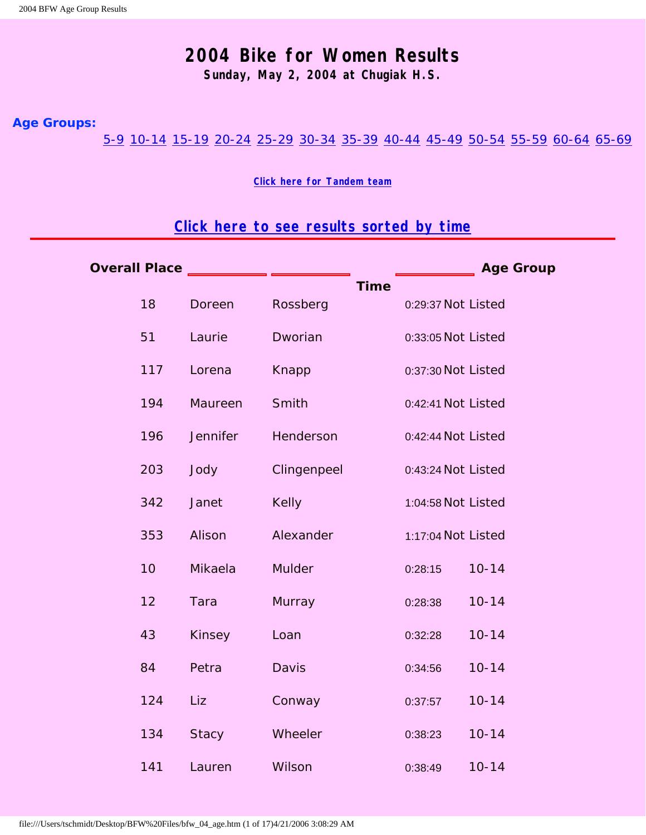#### **2004 Bike for Women Results**

**Sunday, May 2, 2004 at Chugiak H.S.**

#### <span id="page-18-2"></span><span id="page-18-0"></span>**Age Groups:**

[5-9](#page-32-0) [10-14](#page-18-1) [15-19](#page-20-0) [20-24](#page-21-0) [25-29](#page-22-0) [30-34](#page-23-0) [35-39](#page-18-0) [40-44](#page-27-0) [45-49](#page-29-0) [50-54](#page-31-0) [55-59](#page-32-1) [60-64](#page-33-0) [65-69](#page-34-0)

**[Click here for Tandem team](#page-34-1)**

### **[Click here to see results sorted by time](#page-0-1)**

<span id="page-18-1"></span>

| <b>Overall Place</b> |                 |              |             |                    | <b>Age Group</b> |
|----------------------|-----------------|--------------|-------------|--------------------|------------------|
| 18                   | Doreen          | Rossberg     | <b>Time</b> | 0:29:37 Not Listed |                  |
| 51                   | Laurie          | Dworian      |             | 0:33:05 Not Listed |                  |
| 117                  | Lorena          | Knapp        |             | 0:37:30 Not Listed |                  |
| 194                  | Maureen         | Smith        |             | 0:42:41 Not Listed |                  |
| 196                  | <b>Jennifer</b> | Henderson    |             | 0:42:44 Not Listed |                  |
| 203                  | Jody            | Clingenpeel  |             | 0:43:24 Not Listed |                  |
| 342                  | Janet           | <b>Kelly</b> |             | 1:04:58 Not Listed |                  |
| 353                  | Alison          | Alexander    |             | 1:17:04 Not Listed |                  |
| 10                   | Mikaela         | Mulder       |             | 0:28:15            | $10 - 14$        |
| 12                   | Tara            | Murray       |             | 0:28:38            | $10 - 14$        |
| 43                   | Kinsey          | Loan         |             | 0:32:28            | $10 - 14$        |
| 84                   | Petra           | Davis        |             | 0:34:56            | $10 - 14$        |
| 124                  | Liz             | Conway       |             | 0:37:57            | $10 - 14$        |
| 134                  | <b>Stacy</b>    | Wheeler      |             | 0:38:23            | $10 - 14$        |
| 141                  | Lauren          | Wilson       |             | 0:38:49            | $10 - 14$        |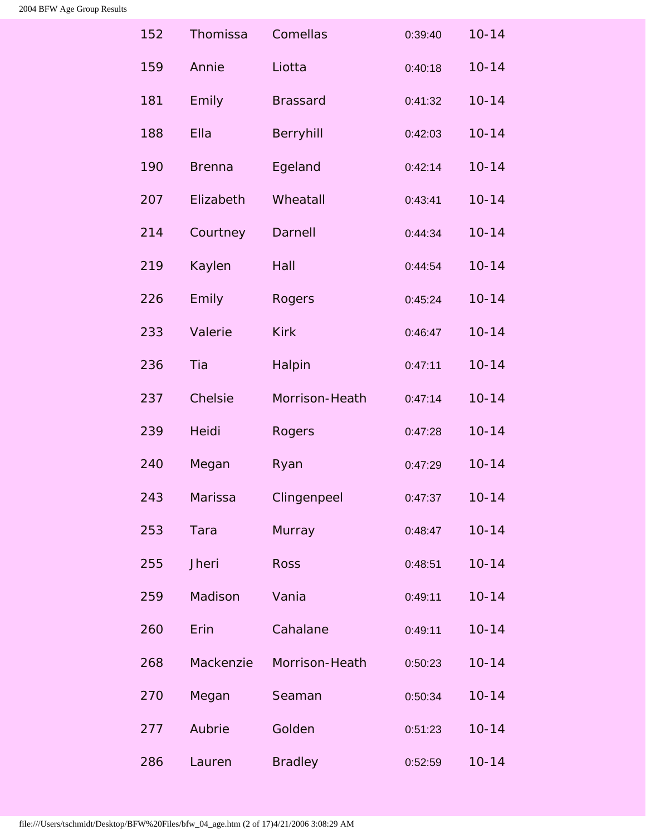| 152 | Thomissa      | Comellas        | 0:39:40 | $10 - 14$ |
|-----|---------------|-----------------|---------|-----------|
| 159 | Annie         | Liotta          | 0:40:18 | $10 - 14$ |
| 181 | Emily         | <b>Brassard</b> | 0:41:32 | $10 - 14$ |
| 188 | Ella          | Berryhill       | 0:42:03 | $10 - 14$ |
| 190 | <b>Brenna</b> | Egeland         | 0:42:14 | $10 - 14$ |
| 207 | Elizabeth     | Wheatall        | 0:43:41 | $10 - 14$ |
| 214 | Courtney      | Darnell         | 0:44:34 | $10 - 14$ |
| 219 | Kaylen        | Hall            | 0:44:54 | $10 - 14$ |
| 226 | Emily         | Rogers          | 0:45:24 | $10 - 14$ |
| 233 | Valerie       | <b>Kirk</b>     | 0:46:47 | $10 - 14$ |
| 236 | Tia           | Halpin          | 0:47:11 | $10 - 14$ |
| 237 | Chelsie       | Morrison-Heath  | 0:47:14 | $10 - 14$ |
| 239 | <b>Heidi</b>  | Rogers          | 0:47:28 | $10 - 14$ |
| 240 | Megan         | Ryan            | 0:47:29 | $10 - 14$ |
| 243 | Marissa       | Clingenpeel     | 0:47:37 | $10 - 14$ |
| 253 | Tara          | Murray          | 0:48:47 | $10 - 14$ |
| 255 | <b>Jheri</b>  | <b>Ross</b>     | 0:48:51 | $10 - 14$ |
| 259 | Madison       | Vania           | 0:49:11 | $10 - 14$ |
| 260 | Erin          | Cahalane        | 0:49:11 | $10 - 14$ |
| 268 | Mackenzie     | Morrison-Heath  | 0:50:23 | $10 - 14$ |
| 270 | Megan         | Seaman          | 0:50:34 | $10 - 14$ |
| 277 | Aubrie        | Golden          | 0:51:23 | $10 - 14$ |
| 286 | Lauren        | <b>Bradley</b>  | 0:52:59 | $10 - 14$ |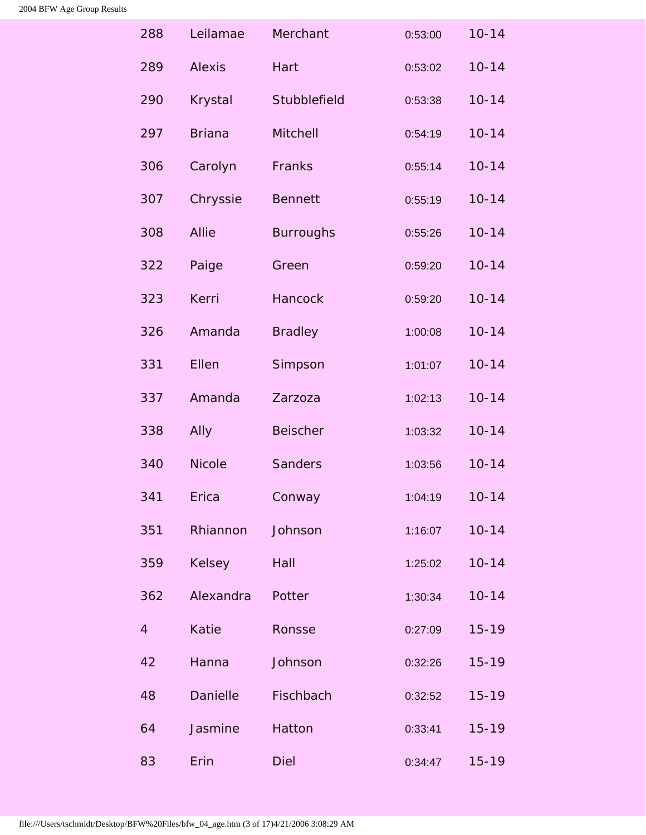<span id="page-20-0"></span>

| 288            | Leilamae       | Merchant         | 0:53:00 | $10 - 14$ |
|----------------|----------------|------------------|---------|-----------|
| 289            | <b>Alexis</b>  | Hart             | 0:53:02 | $10 - 14$ |
| 290            | <b>Krystal</b> | Stubblefield     | 0:53:38 | $10 - 14$ |
| 297            | <b>Briana</b>  | Mitchell         | 0:54:19 | $10 - 14$ |
| 306            | Carolyn        | Franks           | 0:55:14 | $10 - 14$ |
| 307            | Chryssie       | <b>Bennett</b>   | 0:55:19 | $10 - 14$ |
| 308            | <b>Allie</b>   | <b>Burroughs</b> | 0:55:26 | $10 - 14$ |
| 322            | Paige          | Green            | 0:59:20 | $10 - 14$ |
| 323            | Kerri          | <b>Hancock</b>   | 0:59:20 | $10 - 14$ |
| 326            | Amanda         | <b>Bradley</b>   | 1:00:08 | $10 - 14$ |
| 331            | Ellen          | Simpson          | 1:01:07 | $10 - 14$ |
| 337            | Amanda         | Zarzoza          | 1:02:13 | $10 - 14$ |
| 338            | Ally           | <b>Beischer</b>  | 1:03:32 | $10 - 14$ |
| 340            | <b>Nicole</b>  | <b>Sanders</b>   | 1:03:56 | $10 - 14$ |
| 341            | Erica          | Conway           | 1:04:19 | $10 - 14$ |
| 351            | Rhiannon       | Johnson          | 1:16:07 | $10 - 14$ |
| 359            | <b>Kelsey</b>  | Hall             | 1:25:02 | $10 - 14$ |
| 362            | Alexandra      | Potter           | 1:30:34 | $10 - 14$ |
| $\overline{4}$ | Katie          | Ronsse           | 0:27:09 | $15 - 19$ |
| 42             | Hanna          | Johnson          | 0:32:26 | $15 - 19$ |
| 48             | Danielle       | Fischbach        | 0:32:52 | $15 - 19$ |
| 64             | Jasmine        | Hatton           | 0:33:41 | $15 - 19$ |
| 83             | Erin           | <b>Diel</b>      | 0:34:47 | $15 - 19$ |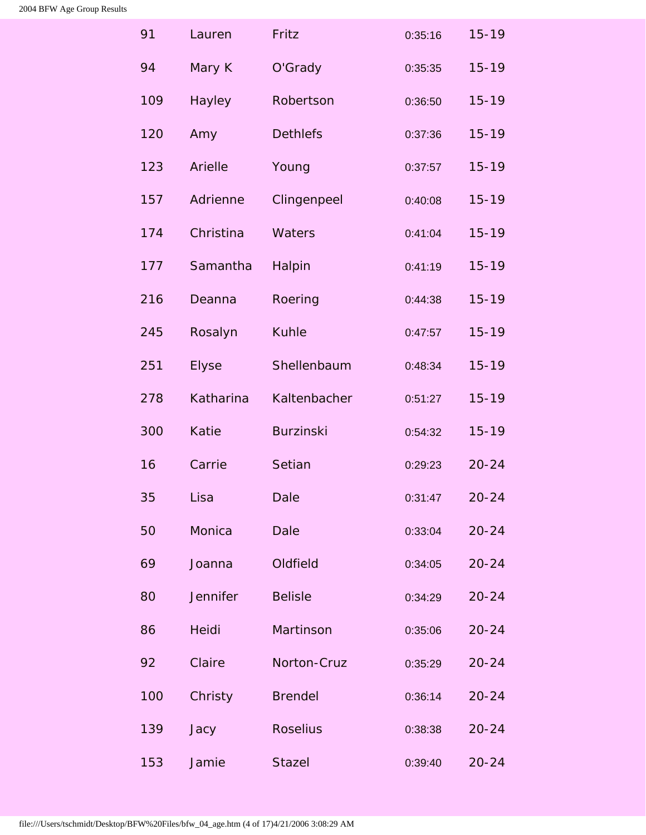<span id="page-21-0"></span>

| 91  | Lauren          | Fritz            | 0:35:16 | $15 - 19$ |
|-----|-----------------|------------------|---------|-----------|
| 94  | Mary K          | O'Grady          | 0:35:35 | $15 - 19$ |
| 109 | Hayley          | Robertson        | 0:36:50 | $15 - 19$ |
| 120 | Amy             | <b>Dethlefs</b>  | 0:37:36 | $15 - 19$ |
| 123 | Arielle         | Young            | 0:37:57 | $15 - 19$ |
| 157 | Adrienne        | Clingenpeel      | 0:40:08 | $15 - 19$ |
| 174 | Christina       | Waters           | 0:41:04 | $15 - 19$ |
| 177 | Samantha        | Halpin           | 0:41:19 | $15 - 19$ |
| 216 | Deanna          | Roering          | 0:44:38 | $15 - 19$ |
| 245 | Rosalyn         | <b>Kuhle</b>     | 0:47:57 | $15 - 19$ |
| 251 | <b>Elyse</b>    | Shellenbaum      | 0:48:34 | $15 - 19$ |
| 278 | Katharina       | Kaltenbacher     | 0:51:27 | $15 - 19$ |
| 300 | <b>Katie</b>    | <b>Burzinski</b> | 0:54:32 | $15 - 19$ |
| 16  | Carrie          | Setian           | 0:29:23 | $20 - 24$ |
| 35  | Lisa            | Dale             | 0:31:47 | $20 - 24$ |
| 50  | Monica          | <b>Dale</b>      | 0:33:04 | $20 - 24$ |
| 69  | Joanna          | Oldfield         | 0:34:05 | $20 - 24$ |
| 80  | <b>Jennifer</b> | <b>Belisle</b>   | 0:34:29 | $20 - 24$ |
| 86  | Heidi           | Martinson        | 0:35:06 | $20 - 24$ |
| 92  | Claire          | Norton-Cruz      | 0:35:29 | $20 - 24$ |
| 100 | Christy         | <b>Brendel</b>   | 0:36:14 | $20 - 24$ |
| 139 | Jacy            | <b>Roselius</b>  | 0:38:38 | $20 - 24$ |
| 153 | Jamie           | <b>Stazel</b>    | 0:39:40 | $20 - 24$ |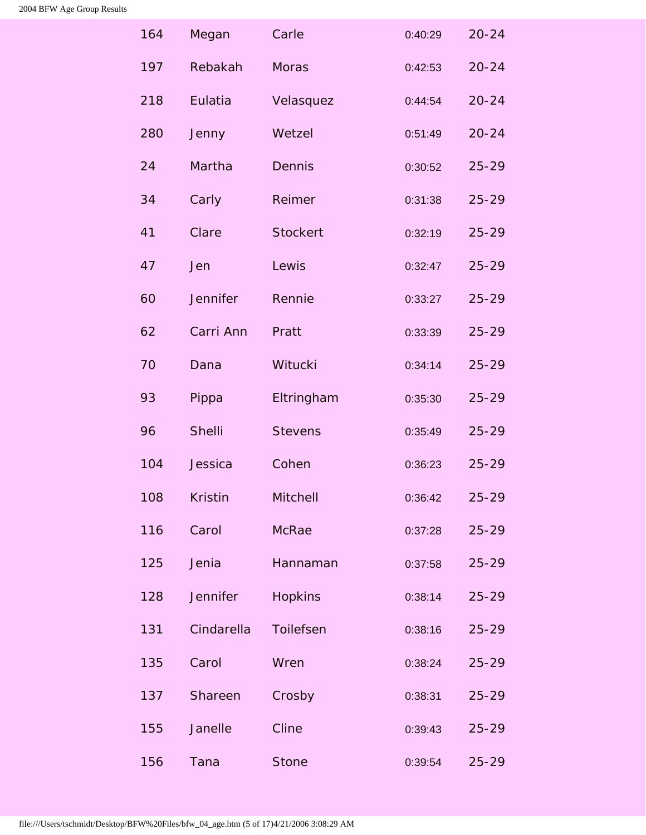<span id="page-22-0"></span>

| 164 | Megan           | Carle           | 0:40:29 | $20 - 24$ |
|-----|-----------------|-----------------|---------|-----------|
| 197 | Rebakah         | <b>Moras</b>    | 0:42:53 | $20 - 24$ |
| 218 | Eulatia         | Velasquez       | 0:44:54 | $20 - 24$ |
| 280 | Jenny           | Wetzel          | 0:51:49 | $20 - 24$ |
| 24  | Martha          | <b>Dennis</b>   | 0:30:52 | $25 - 29$ |
| 34  | Carly           | Reimer          | 0:31:38 | $25 - 29$ |
| 41  | Clare           | <b>Stockert</b> | 0:32:19 | $25 - 29$ |
| 47  | Jen             | Lewis           | 0:32:47 | $25 - 29$ |
| 60  | <b>Jennifer</b> | Rennie          | 0:33:27 | $25 - 29$ |
| 62  | Carri Ann       | Pratt           | 0:33:39 | $25 - 29$ |
| 70  | Dana            | Witucki         | 0:34:14 | $25 - 29$ |
| 93  | Pippa           | Eltringham      | 0:35:30 | $25 - 29$ |
| 96  | Shelli          | <b>Stevens</b>  | 0:35:49 | $25 - 29$ |
| 104 | Jessica         | Cohen           | 0:36:23 | $25 - 29$ |
| 108 | <b>Kristin</b>  | Mitchell        | 0:36:42 | $25 - 29$ |
| 116 | Carol           | <b>McRae</b>    | 0:37:28 | $25 - 29$ |
| 125 | Jenia           | Hannaman        | 0:37:58 | $25 - 29$ |
| 128 | <b>Jennifer</b> | <b>Hopkins</b>  | 0:38:14 | $25 - 29$ |
| 131 | Cindarella      | Toilefsen       | 0:38:16 | $25 - 29$ |
| 135 | Carol           | Wren            | 0:38:24 | $25 - 29$ |
| 137 | Shareen         | Crosby          | 0:38:31 | $25 - 29$ |
| 155 | Janelle         | Cline           | 0:39:43 | $25 - 29$ |
| 156 | Tana            | <b>Stone</b>    | 0:39:54 | $25 - 29$ |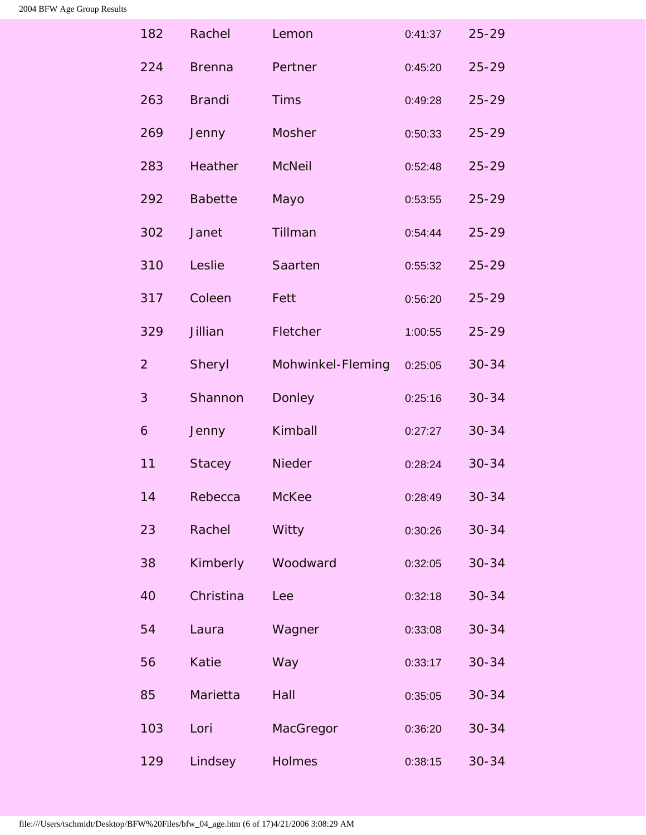<span id="page-23-0"></span>

| 182            | Rachel         | Lemon             | 0:41:37 | $25 - 29$ |
|----------------|----------------|-------------------|---------|-----------|
| 224            | <b>Brenna</b>  | Pertner           | 0:45:20 | $25 - 29$ |
| 263            | <b>Brandi</b>  | <b>Tims</b>       | 0:49:28 | $25 - 29$ |
| 269            | Jenny          | Mosher            | 0:50:33 | $25 - 29$ |
| 283            | <b>Heather</b> | <b>McNeil</b>     | 0:52:48 | $25 - 29$ |
| 292            | <b>Babette</b> | Mayo              | 0:53:55 | $25 - 29$ |
| 302            | Janet          | Tillman           | 0:54:44 | $25 - 29$ |
| 310            | Leslie         | Saarten           | 0:55:32 | $25 - 29$ |
| 317            | Coleen         | Fett              | 0:56:20 | $25 - 29$ |
| 329            | Jillian        | Fletcher          | 1:00:55 | $25 - 29$ |
| $\overline{2}$ | Sheryl         | Mohwinkel-Fleming | 0:25:05 | $30 - 34$ |
| 3              | Shannon        | Donley            | 0:25:16 | $30 - 34$ |
| 6              | Jenny          | Kimball           | 0:27:27 | $30 - 34$ |
| 11             | <b>Stacey</b>  | Nieder            | 0:28:24 | $30 - 34$ |
| 14             | Rebecca        | <b>McKee</b>      | 0:28:49 | $30 - 34$ |
| 23             | Rachel         | Witty             | 0:30:26 | $30 - 34$ |
| 38             | Kimberly       | Woodward          | 0:32:05 | $30 - 34$ |
| 40             | Christina      | Lee               | 0:32:18 | $30 - 34$ |
| 54             | Laura          | Wagner            | 0:33:08 | $30 - 34$ |
| 56             | Katie          | Way               | 0:33:17 | $30 - 34$ |
| 85             | Marietta       | Hall              | 0:35:05 | $30 - 34$ |
| 103            | Lori           | MacGregor         | 0:36:20 | $30 - 34$ |
| 129            | Lindsey        | Holmes            | 0:38:15 | $30 - 34$ |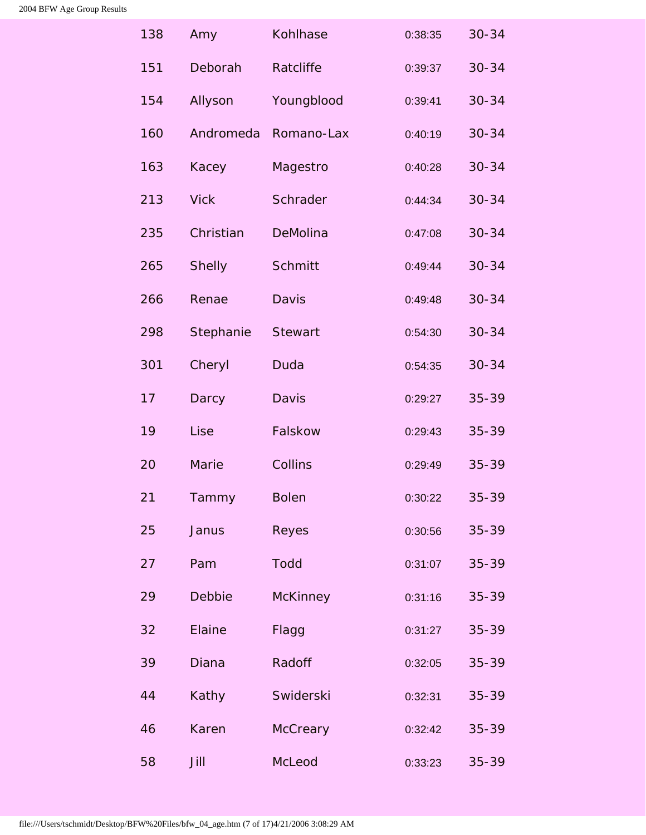| 138 | Amy           | Kohlhase        | 0:38:35 | $30 - 34$ |
|-----|---------------|-----------------|---------|-----------|
| 151 | Deborah       | Ratcliffe       | 0:39:37 | $30 - 34$ |
| 154 | Allyson       | Youngblood      | 0:39:41 | $30 - 34$ |
| 160 | Andromeda     | Romano-Lax      | 0:40:19 | $30 - 34$ |
| 163 | Kacey         | Magestro        | 0:40:28 | $30 - 34$ |
| 213 | <b>Vick</b>   | Schrader        | 0:44:34 | $30 - 34$ |
| 235 | Christian     | DeMolina        | 0:47:08 | $30 - 34$ |
| 265 | <b>Shelly</b> | Schmitt         | 0:49:44 | $30 - 34$ |
| 266 | Renae         | Davis           | 0:49:48 | $30 - 34$ |
| 298 | Stephanie     | <b>Stewart</b>  | 0:54:30 | $30 - 34$ |
| 301 | Cheryl        | Duda            | 0:54:35 | $30 - 34$ |
| 17  | Darcy         | Davis           | 0:29:27 | 35-39     |
| 19  | Lise          | Falskow         | 0:29:43 | 35-39     |
| 20  | Marie         | Collins         | 0:29:49 | 35-39     |
| 21  | Tammy         | <b>Bolen</b>    | 0:30:22 | 35-39     |
| 25  | Janus         | Reyes           | 0:30:56 | 35-39     |
| 27  | Pam           | <b>Todd</b>     | 0:31:07 | $35 - 39$ |
| 29  | Debbie        | <b>McKinney</b> | 0:31:16 | 35-39     |
| 32  | Elaine        | Flagg           | 0:31:27 | $35 - 39$ |
| 39  | Diana         | Radoff          | 0:32:05 | $35 - 39$ |
| 44  | Kathy         | Swiderski       | 0:32:31 | $35 - 39$ |
| 46  | Karen         | <b>McCreary</b> | 0:32:42 | $35 - 39$ |
| 58  | Jill          | McLeod          | 0:33:23 | $35 - 39$ |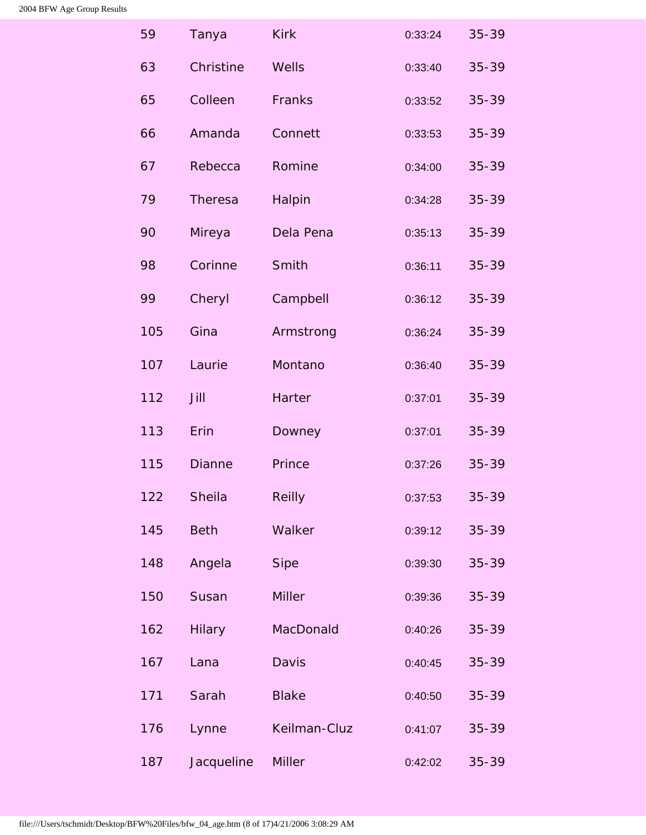| 59  | Tanya          | <b>Kirk</b>   | 0:33:24 | 35-39     |
|-----|----------------|---------------|---------|-----------|
| 63  | Christine      | Wells         | 0:33:40 | $35 - 39$ |
| 65  | Colleen        | Franks        | 0:33:52 | $35 - 39$ |
| 66  | Amanda         | Connett       | 0:33:53 | 35-39     |
| 67  | Rebecca        | Romine        | 0:34:00 | 35-39     |
| 79  | <b>Theresa</b> | Halpin        | 0:34:28 | 35-39     |
| 90  | Mireya         | Dela Pena     | 0:35:13 | 35-39     |
| 98  | Corinne        | Smith         | 0:36:11 | 35-39     |
| 99  | Cheryl         | Campbell      | 0:36:12 | 35-39     |
| 105 | Gina           | Armstrong     | 0:36:24 | 35-39     |
| 107 | Laurie         | Montano       | 0:36:40 | $35 - 39$ |
| 112 | Jill           | Harter        | 0:37:01 | 35-39     |
| 113 | Erin           | Downey        | 0:37:01 | 35-39     |
| 115 | <b>Dianne</b>  | Prince        | 0:37:26 | 35-39     |
| 122 | Sheila         | <b>Reilly</b> | 0:37:53 | 35-39     |
| 145 | <b>Beth</b>    | Walker        | 0:39:12 | 35-39     |
| 148 | Angela         | <b>Sipe</b>   | 0:39:30 | 35-39     |
| 150 | Susan          | <b>Miller</b> | 0:39:36 | 35-39     |
| 162 | <b>Hilary</b>  | MacDonald     | 0:40:26 | $35 - 39$ |
| 167 | Lana           | Davis         | 0:40:45 | $35 - 39$ |
| 171 | Sarah          | <b>Blake</b>  | 0:40:50 | 35-39     |
| 176 | Lynne          | Keilman-Cluz  | 0:41:07 | 35-39     |
| 187 | Jacqueline     | <b>Miller</b> | 0:42:02 | $35 - 39$ |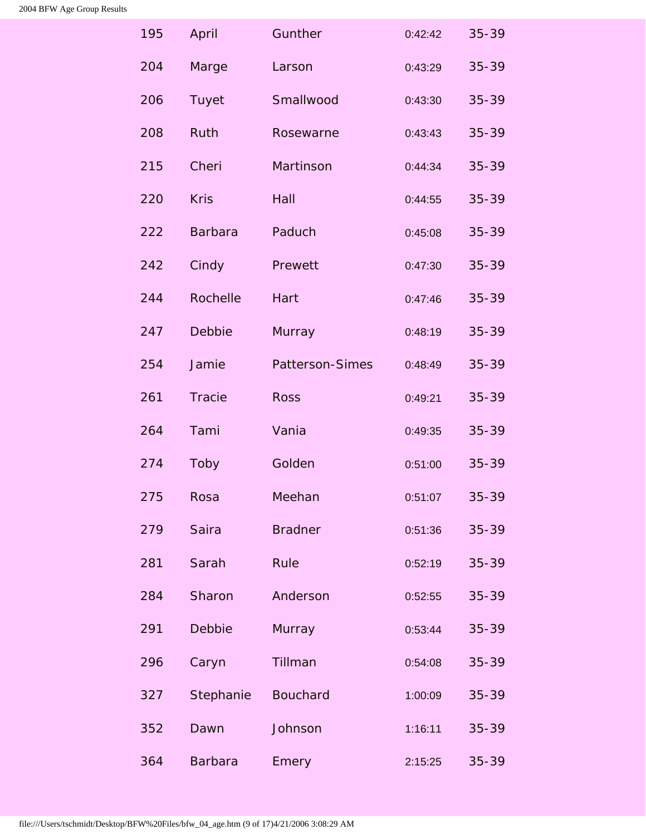| 195 | April          | Gunther         | 0:42:42 | $35 - 39$ |
|-----|----------------|-----------------|---------|-----------|
| 204 | Marge          | Larson          | 0:43:29 | $35 - 39$ |
| 206 | Tuyet          | Smallwood       | 0:43:30 | $35 - 39$ |
| 208 | Ruth           | Rosewarne       | 0:43:43 | $35 - 39$ |
| 215 | Cheri          | Martinson       | 0:44:34 | $35 - 39$ |
| 220 | <b>Kris</b>    | Hall            | 0:44:55 | $35 - 39$ |
| 222 | <b>Barbara</b> | Paduch          | 0:45:08 | $35 - 39$ |
| 242 | Cindy          | Prewett         | 0:47:30 | 35-39     |
| 244 | Rochelle       | Hart            | 0:47:46 | 35-39     |
| 247 | Debbie         | Murray          | 0:48:19 | $35 - 39$ |
| 254 | Jamie          | Patterson-Simes | 0:48:49 | $35 - 39$ |
| 261 | <b>Tracie</b>  | <b>Ross</b>     | 0:49:21 | 35-39     |
| 264 | Tami           | Vania           | 0:49:35 | $35 - 39$ |
| 274 | Toby           | Golden          | 0:51:00 | 35-39     |
| 275 | Rosa           | Meehan          | 0:51:07 | 35-39     |
| 279 | Saira          | <b>Bradner</b>  | 0:51:36 | 35-39     |
| 281 | Sarah          | Rule            | 0:52:19 | $35 - 39$ |
| 284 | Sharon         | Anderson        | 0:52:55 | $35 - 39$ |
| 291 | Debbie         | Murray          | 0:53:44 | $35 - 39$ |
| 296 | Caryn          | Tillman         | 0:54:08 | $35 - 39$ |
| 327 | Stephanie      | <b>Bouchard</b> | 1:00:09 | 35-39     |
| 352 | Dawn           | Johnson         | 1:16:11 | 35-39     |
| 364 | <b>Barbara</b> | Emery           | 2:15:25 | $35 - 39$ |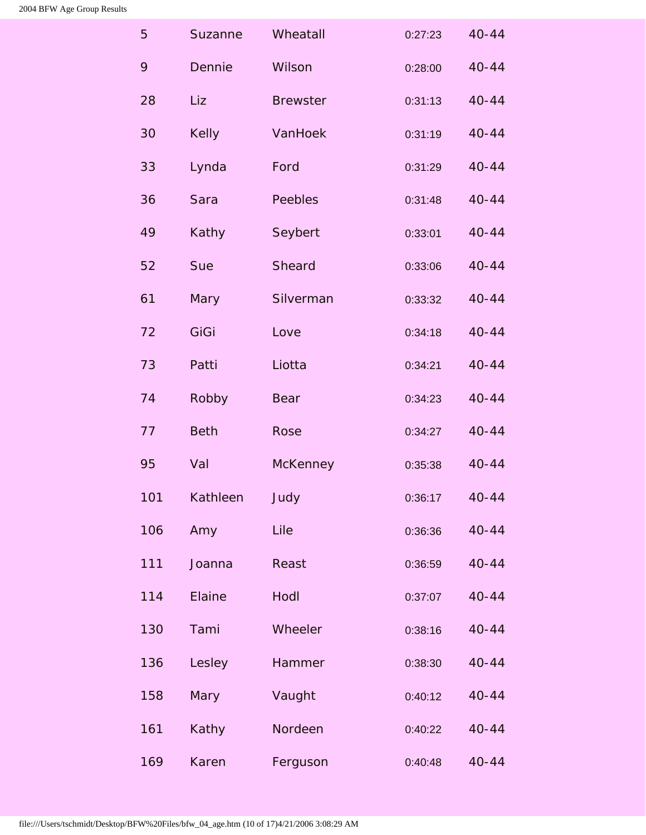<span id="page-27-0"></span>

| 5   | Suzanne      | Wheatall        | 0:27:23 | $40 - 44$ |
|-----|--------------|-----------------|---------|-----------|
| 9   | Dennie       | Wilson          | 0:28:00 | $40 - 44$ |
| 28  | Liz          | <b>Brewster</b> | 0:31:13 | $40 - 44$ |
| 30  | <b>Kelly</b> | VanHoek         | 0:31:19 | $40 - 44$ |
| 33  | Lynda        | Ford            | 0:31:29 | $40 - 44$ |
| 36  | Sara         | Peebles         | 0:31:48 | $40 - 44$ |
| 49  | Kathy        | Seybert         | 0:33:01 | $40 - 44$ |
| 52  | Sue          | Sheard          | 0:33:06 | $40 - 44$ |
| 61  | Mary         | Silverman       | 0:33:32 | $40 - 44$ |
| 72  | GiGi         | Love            | 0:34:18 | $40 - 44$ |
| 73  | Patti        | Liotta          | 0:34:21 | $40 - 44$ |
| 74  | Robby        | Bear            | 0:34:23 | $40 - 44$ |
| 77  | <b>Beth</b>  | Rose            | 0:34:27 | $40 - 44$ |
| 95  | Val          | <b>McKenney</b> | 0:35:38 | $40 - 44$ |
| 101 | Kathleen     | Judy            | 0:36:17 | $40 - 44$ |
| 106 | Amy          | Lile            | 0:36:36 | $40 - 44$ |
| 111 | Joanna       | Reast           | 0:36:59 | $40 - 44$ |
| 114 | Elaine       | Hodl            | 0:37:07 | $40 - 44$ |
| 130 | Tami         | Wheeler         | 0:38:16 | $40 - 44$ |
| 136 | Lesley       | Hammer          | 0:38:30 | $40 - 44$ |
| 158 | Mary         | Vaught          | 0:40:12 | $40 - 44$ |
| 161 | Kathy        | Nordeen         | 0:40:22 | $40 - 44$ |
| 169 | Karen        | Ferguson        | 0:40:48 | $40 - 44$ |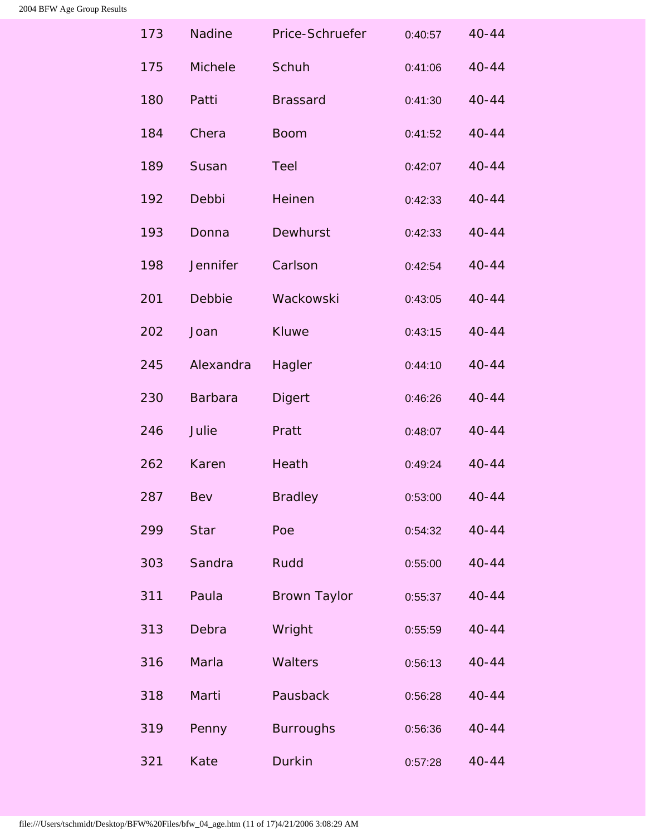| 173 | <b>Nadine</b>  | Price-Schruefer     | 0:40:57 | $40 - 44$ |
|-----|----------------|---------------------|---------|-----------|
| 175 | Michele        | Schuh               | 0:41:06 | $40 - 44$ |
| 180 | Patti          | <b>Brassard</b>     | 0:41:30 | $40 - 44$ |
| 184 | Chera          | <b>Boom</b>         | 0:41:52 | $40 - 44$ |
| 189 | Susan          | Teel                | 0:42:07 | $40 - 44$ |
| 192 | Debbi          | Heinen              | 0:42:33 | $40 - 44$ |
| 193 | Donna          | Dewhurst            | 0:42:33 | $40 - 44$ |
| 198 | Jennifer       | Carlson             | 0:42:54 | $40 - 44$ |
| 201 | Debbie         | Wackowski           | 0:43:05 | $40 - 44$ |
| 202 | Joan           | <b>Kluwe</b>        | 0:43:15 | $40 - 44$ |
| 245 | Alexandra      | Hagler              | 0:44:10 | $40 - 44$ |
| 230 | <b>Barbara</b> | <b>Digert</b>       | 0:46:26 | $40 - 44$ |
| 246 | Julie          | Pratt               | 0:48:07 | $40 - 44$ |
| 262 | Karen          | Heath               | 0:49:24 | $40 - 44$ |
| 287 | Bev            | <b>Bradley</b>      | 0:53:00 | $40 - 44$ |
| 299 | <b>Star</b>    | Poe                 | 0:54:32 | $40 - 44$ |
| 303 | Sandra         | Rudd                | 0:55:00 | $40 - 44$ |
| 311 | Paula          | <b>Brown Taylor</b> | 0:55:37 | $40 - 44$ |
| 313 | Debra          | Wright              | 0:55:59 | $40 - 44$ |
| 316 | Marla          | Walters             | 0:56:13 | $40 - 44$ |
| 318 | Marti          | Pausback            | 0:56:28 | $40 - 44$ |
| 319 | Penny          | <b>Burroughs</b>    | 0:56:36 | $40 - 44$ |
| 321 | Kate           | <b>Durkin</b>       | 0:57:28 | $40 - 44$ |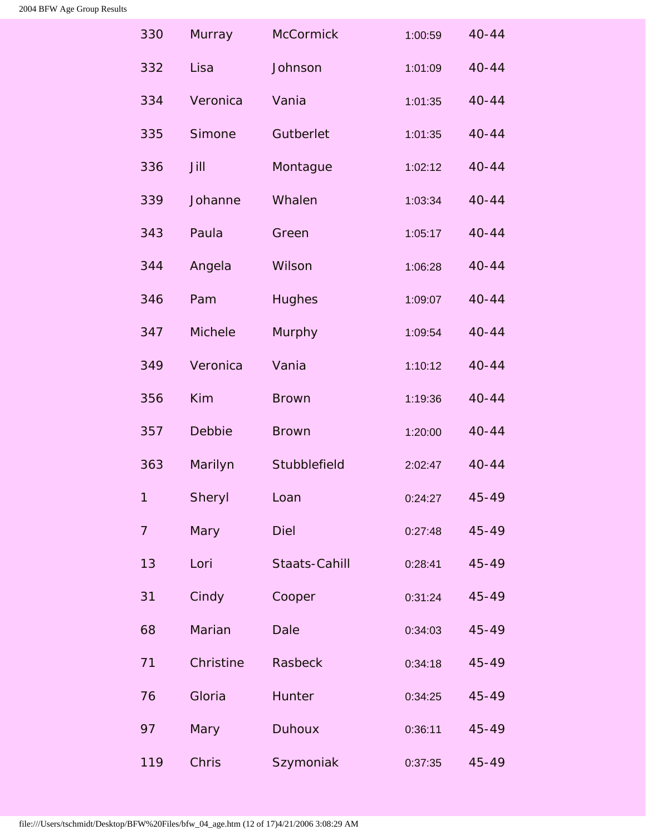<span id="page-29-0"></span>

| 330            | Murray         | McCormick     | 1:00:59 | $40 - 44$ |
|----------------|----------------|---------------|---------|-----------|
| 332            | Lisa           | Johnson       | 1:01:09 | $40 - 44$ |
| 334            | Veronica       | Vania         | 1:01:35 | $40 - 44$ |
| 335            | Simone         | Gutberlet     | 1:01:35 | $40 - 44$ |
| 336            | Jill           | Montague      | 1:02:12 | $40 - 44$ |
| 339            | Johanne        | Whalen        | 1:03:34 | $40 - 44$ |
| 343            | Paula          | Green         | 1:05:17 | $40 - 44$ |
| 344            | Angela         | Wilson        | 1:06:28 | $40 - 44$ |
| 346            | Pam            | <b>Hughes</b> | 1:09:07 | $40 - 44$ |
| 347            | <b>Michele</b> | Murphy        | 1:09:54 | $40 - 44$ |
| 349            | Veronica       | Vania         | 1:10:12 | $40 - 44$ |
| 356            | <b>Kim</b>     | <b>Brown</b>  | 1:19:36 | $40 - 44$ |
| 357            | Debbie         | <b>Brown</b>  | 1:20:00 | $40 - 44$ |
| 363            | Marilyn        | Stubblefield  | 2:02:47 | $40 - 44$ |
| 1              | Sheryl         | Loan          | 0:24:27 | 45-49     |
| $\overline{7}$ | Mary           | <b>Diel</b>   | 0:27:48 | 45-49     |
| 13             | Lori           | Staats-Cahill | 0:28:41 | 45-49     |
| 31             | Cindy          | Cooper        | 0:31:24 | 45-49     |
| 68             | Marian         | <b>Dale</b>   | 0:34:03 | 45-49     |
| 71             | Christine      | Rasbeck       | 0:34:18 | 45-49     |
| 76             | Gloria         | Hunter        | 0:34:25 | 45-49     |
| 97             | Mary           | <b>Duhoux</b> | 0:36:11 | 45-49     |
| 119            | Chris          | Szymoniak     | 0:37:35 | 45-49     |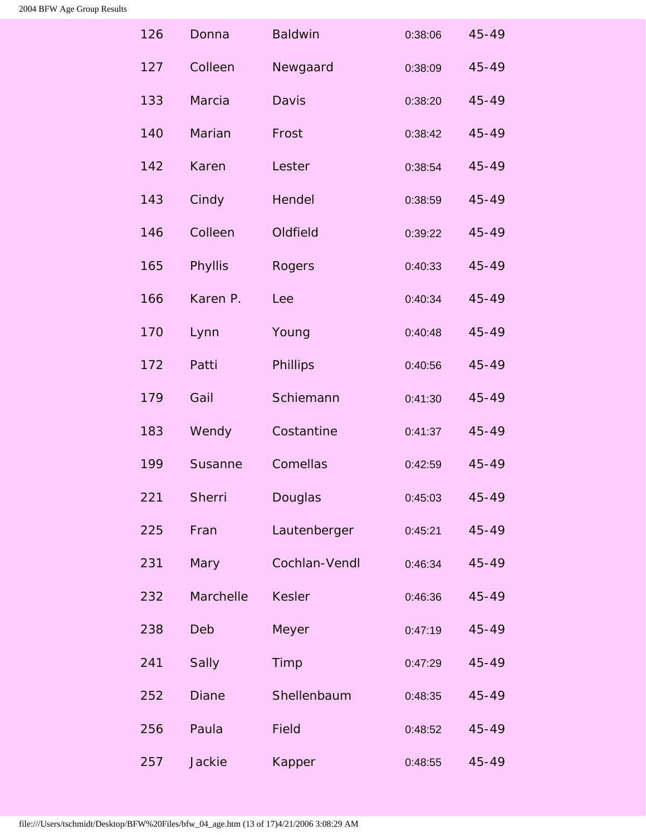| 126 | Donna        | <b>Baldwin</b> | 0:38:06 | 45-49     |
|-----|--------------|----------------|---------|-----------|
| 127 | Colleen      | Newgaard       | 0:38:09 | 45-49     |
| 133 | Marcia       | Davis          | 0:38:20 | 45-49     |
| 140 | Marian       | Frost          | 0:38:42 | 45-49     |
| 142 | Karen        | Lester         | 0:38:54 | $45 - 49$ |
| 143 | Cindy        | Hendel         | 0:38:59 | 45-49     |
| 146 | Colleen      | Oldfield       | 0:39:22 | 45-49     |
| 165 | Phyllis      | Rogers         | 0:40:33 | 45-49     |
| 166 | Karen P.     | Lee            | 0:40:34 | 45-49     |
| 170 | Lynn         | Young          | 0:40:48 | 45-49     |
| 172 | Patti        | Phillips       | 0:40:56 | 45-49     |
| 179 | Gail         | Schiemann      | 0:41:30 | 45-49     |
| 183 | Wendy        | Costantine     | 0:41:37 | 45-49     |
| 199 | Susanne      | Comellas       | 0:42:59 | 45-49     |
| 221 | Sherri       | Douglas        | 0:45:03 | 45-49     |
| 225 | Fran         | Lautenberger   | 0:45:21 | 45-49     |
| 231 | Mary         | Cochlan-Vendl  | 0:46:34 | 45-49     |
| 232 | Marchelle    | <b>Kesler</b>  | 0:46:36 | 45-49     |
| 238 | Deb          | Meyer          | 0:47:19 | 45-49     |
| 241 | Sally        | Timp           | 0:47:29 | 45-49     |
| 252 | <b>Diane</b> | Shellenbaum    | 0:48:35 | 45-49     |
| 256 | Paula        | <b>Field</b>   | 0:48:52 | 45-49     |
| 257 | Jackie       | Kapper         | 0:48:55 | 45-49     |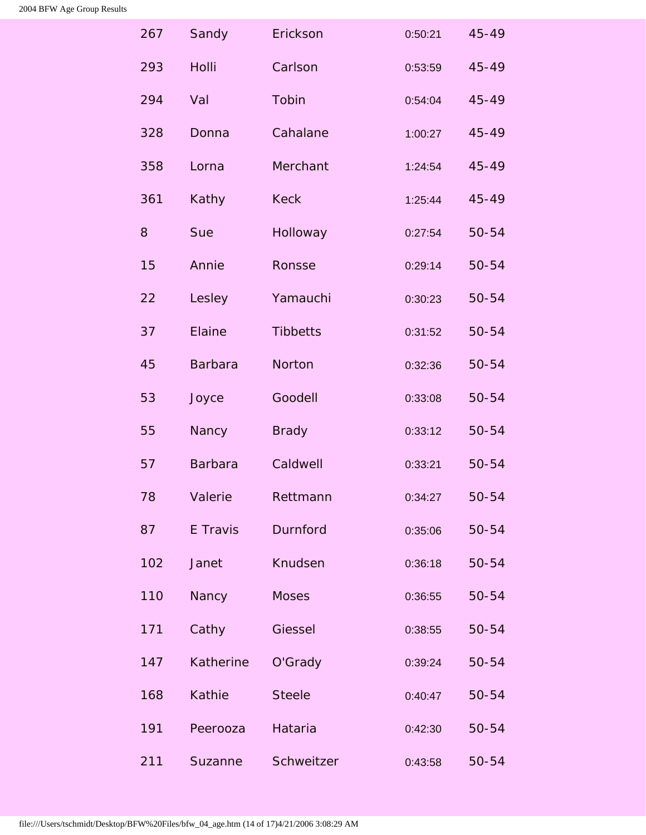<span id="page-31-0"></span>

| 267 | Sandy          | Erickson        | 0:50:21 | 45-49 |
|-----|----------------|-----------------|---------|-------|
| 293 | Holli          | Carlson         | 0:53:59 | 45-49 |
| 294 | Val            | Tobin           | 0:54:04 | 45-49 |
| 328 | Donna          | Cahalane        | 1:00:27 | 45-49 |
| 358 | Lorna          | Merchant        | 1:24:54 | 45-49 |
| 361 | Kathy          | <b>Keck</b>     | 1:25:44 | 45-49 |
| 8   | Sue            | Holloway        | 0:27:54 | 50-54 |
| 15  | Annie          | Ronsse          | 0:29:14 | 50-54 |
| 22  | Lesley         | Yamauchi        | 0:30:23 | 50-54 |
| 37  | Elaine         | <b>Tibbetts</b> | 0:31:52 | 50-54 |
| 45  | <b>Barbara</b> | Norton          | 0:32:36 | 50-54 |
| 53  | Joyce          | Goodell         | 0:33:08 | 50-54 |
| 55  | Nancy          | <b>Brady</b>    | 0:33:12 | 50-54 |
| 57  | <b>Barbara</b> | Caldwell        | 0:33:21 | 50-54 |
| 78  | Valerie        | Rettmann        | 0:34:27 | 50-54 |
| 87  | E Travis       | Durnford        | 0:35:06 | 50-54 |
| 102 | Janet          | Knudsen         | 0:36:18 | 50-54 |
| 110 | Nancy          | <b>Moses</b>    | 0:36:55 | 50-54 |
| 171 | Cathy          | Giessel         | 0:38:55 | 50-54 |
| 147 | Katherine      | O'Grady         | 0:39:24 | 50-54 |
| 168 | Kathie         | <b>Steele</b>   | 0:40:47 | 50-54 |
| 191 | Peerooza       | Hataria         | 0:42:30 | 50-54 |
| 211 | Suzanne        | Schweitzer      | 0:43:58 | 50-54 |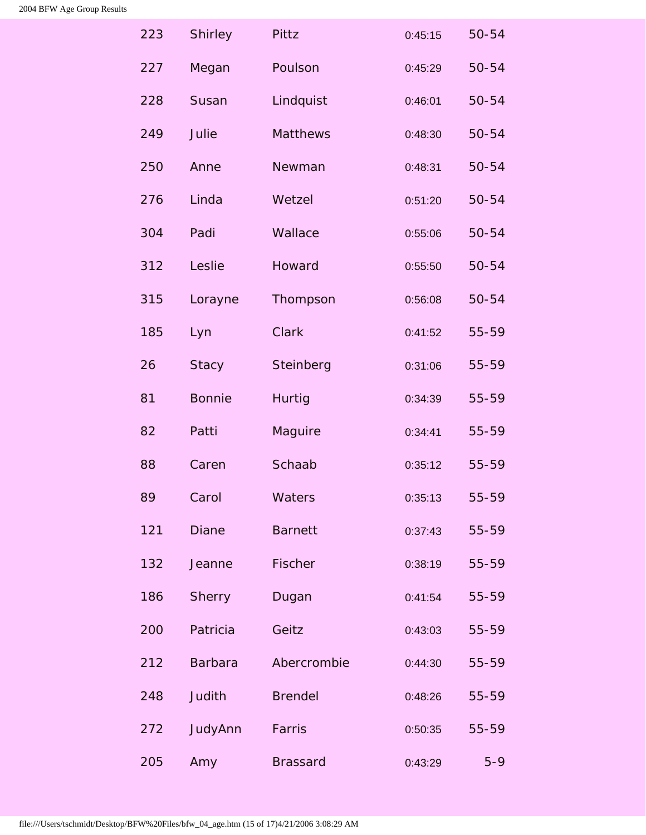<span id="page-32-1"></span><span id="page-32-0"></span>

| 223 | <b>Shirley</b> | Pittz           | 0:45:15 | $50 - 54$ |
|-----|----------------|-----------------|---------|-----------|
| 227 | Megan          | Poulson         | 0:45:29 | 50-54     |
| 228 | Susan          | Lindquist       | 0:46:01 | 50-54     |
| 249 | Julie          | Matthews        | 0:48:30 | $50 - 54$ |
| 250 | Anne           | Newman          | 0:48:31 | 50-54     |
| 276 | Linda          | Wetzel          | 0:51:20 | 50-54     |
| 304 | Padi           | Wallace         | 0:55:06 | 50-54     |
| 312 | Leslie         | Howard          | 0:55:50 | 50-54     |
| 315 | Lorayne        | Thompson        | 0:56:08 | 50-54     |
| 185 | Lyn            | <b>Clark</b>    | 0:41:52 | 55-59     |
| 26  | <b>Stacy</b>   | Steinberg       | 0:31:06 | 55-59     |
| 81  | <b>Bonnie</b>  | <b>Hurtig</b>   | 0:34:39 | 55-59     |
| 82  | Patti          | Maguire         | 0:34:41 | 55-59     |
| 88  | Caren          | Schaab          | 0:35:12 | 55-59     |
| 89  | Carol          | Waters          | 0:35:13 | 55-59     |
| 121 | <b>Diane</b>   | <b>Barnett</b>  | 0:37:43 | 55-59     |
| 132 | Jeanne         | Fischer         | 0:38:19 | 55-59     |
| 186 | <b>Sherry</b>  | Dugan           | 0:41:54 | 55-59     |
| 200 | Patricia       | Geitz           | 0:43:03 | 55-59     |
| 212 | <b>Barbara</b> | Abercrombie     | 0:44:30 | 55-59     |
| 248 | Judith         | <b>Brendel</b>  | 0:48:26 | 55-59     |
| 272 | JudyAnn        | Farris          | 0:50:35 | 55-59     |
| 205 | Amy            | <b>Brassard</b> | 0:43:29 | $5 - 9$   |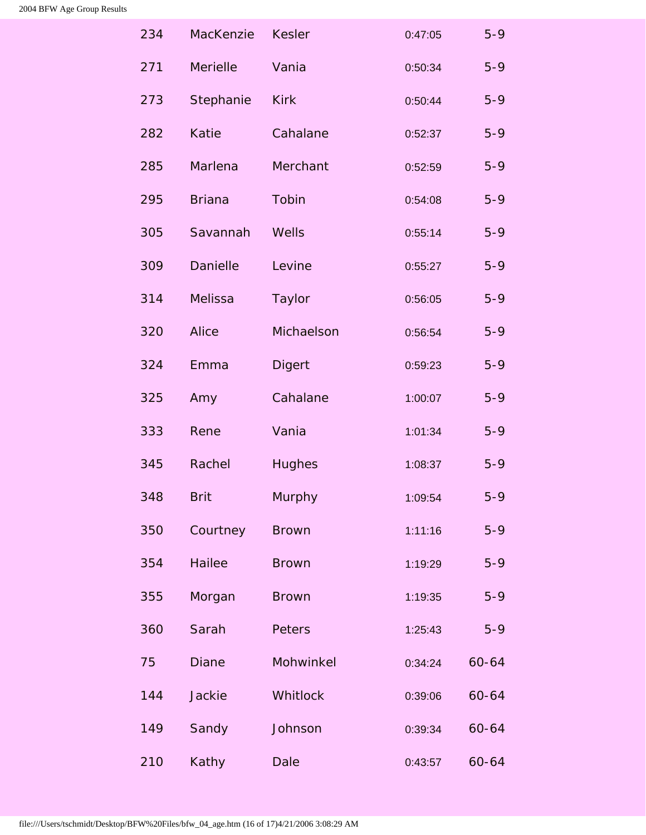<span id="page-33-0"></span>

| 234 | MacKenzie       | <b>Kesler</b> | 0:47:05 | $5 - 9$ |
|-----|-----------------|---------------|---------|---------|
| 271 | Merielle        | Vania         | 0:50:34 | $5 - 9$ |
| 273 | Stephanie       | <b>Kirk</b>   | 0:50:44 | $5 - 9$ |
| 282 | <b>Katie</b>    | Cahalane      | 0:52:37 | $5 - 9$ |
| 285 | Marlena         | Merchant      | 0:52:59 | $5 - 9$ |
| 295 | <b>Briana</b>   | Tobin         | 0:54:08 | $5 - 9$ |
| 305 | Savannah        | Wells         | 0:55:14 | $5 - 9$ |
| 309 | <b>Danielle</b> | Levine        | 0:55:27 | $5 - 9$ |
| 314 | Melissa         | Taylor        | 0:56:05 | $5 - 9$ |
| 320 | <b>Alice</b>    | Michaelson    | 0:56:54 | $5 - 9$ |
| 324 | Emma            | <b>Digert</b> | 0:59:23 | $5 - 9$ |
| 325 | Amy             | Cahalane      | 1:00:07 | $5 - 9$ |
| 333 | Rene            | Vania         | 1:01:34 | $5 - 9$ |
| 345 | Rachel          | <b>Hughes</b> | 1:08:37 | $5 - 9$ |
| 348 | <b>Brit</b>     | Murphy        | 1:09:54 | $5 - 9$ |
| 350 | Courtney        | <b>Brown</b>  | 1:11:16 | $5 - 9$ |
| 354 | <b>Hailee</b>   | <b>Brown</b>  | 1:19:29 | $5 - 9$ |
| 355 | Morgan          | <b>Brown</b>  | 1:19:35 | $5 - 9$ |
| 360 | Sarah           | Peters        | 1:25:43 | $5 - 9$ |
| 75  | <b>Diane</b>    | Mohwinkel     | 0:34:24 | 60-64   |
| 144 | Jackie          | Whitlock      | 0:39:06 | 60-64   |
| 149 | Sandy           | Johnson       | 0:39:34 | 60-64   |
| 210 | Kathy           | <b>Dale</b>   | 0:43:57 | 60-64   |